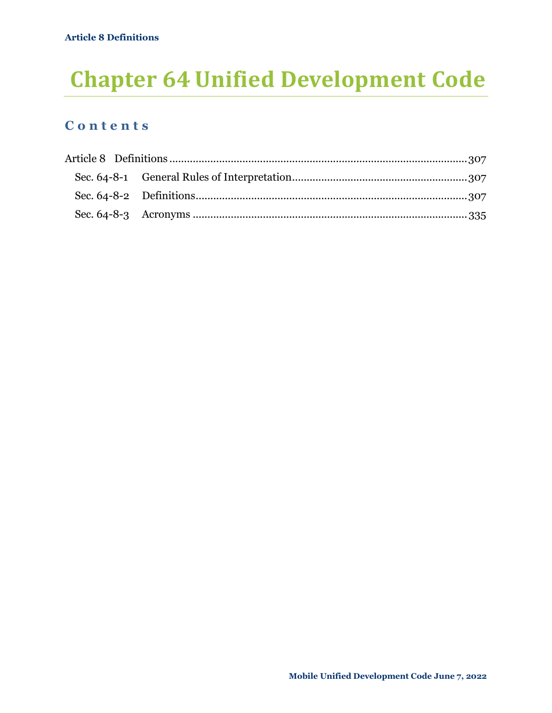# **Chapter 64 Unified Development Code**

## **C o n t e n t s**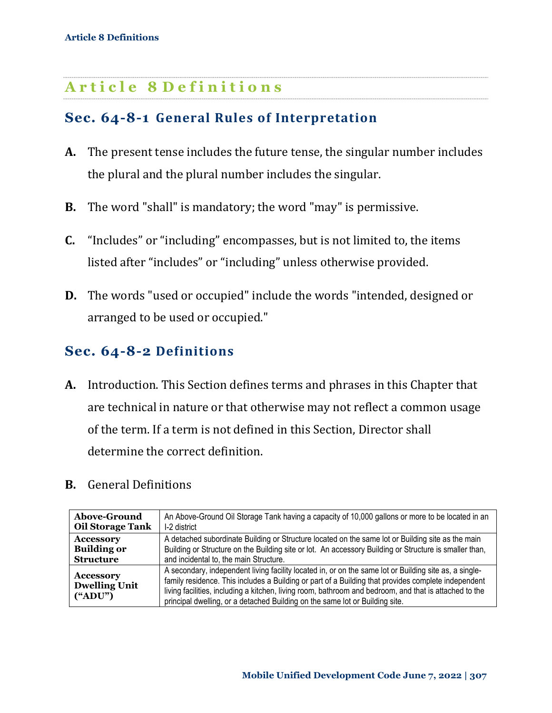## <span id="page-1-0"></span>**A r t i c l e 8 D e f i n i t i o n s**

## <span id="page-1-1"></span>**Sec. 64-8-1 General Rules of Interpretation**

- **A.** The present tense includes the future tense, the singular number includes the plural and the plural number includes the singular.
- **B.** The word "shall" is mandatory; the word "may" is permissive.
- **C.** "Includes" or "including" encompasses, but is not limited to, the items listed after "includes" or "including" unless otherwise provided.
- **D.** The words "used or occupied" include the words "intended, designed or arranged to be used or occupied."

## <span id="page-1-2"></span>**Sec. 64-8-2 Definitions**

- **A.** Introduction. This Section defines terms and phrases in this Chapter that are technical in nature or that otherwise may not reflect a common usage of the term. If a term is not defined in this Section, Director shall determine the correct definition.
- **B.** General Definitions

| <b>Above-Ground</b>                                                 | An Above-Ground Oil Storage Tank having a capacity of 10,000 gallons or more to be located in an                                                                                                                                                                                                                                                                                                        |
|---------------------------------------------------------------------|---------------------------------------------------------------------------------------------------------------------------------------------------------------------------------------------------------------------------------------------------------------------------------------------------------------------------------------------------------------------------------------------------------|
| <b>Oil Storage Tank</b>                                             | I-2 district                                                                                                                                                                                                                                                                                                                                                                                            |
| <b>Accessory</b>                                                    | A detached subordinate Building or Structure located on the same lot or Building site as the main                                                                                                                                                                                                                                                                                                       |
| <b>Building or</b>                                                  | Building or Structure on the Building site or lot. An accessory Building or Structure is smaller than,                                                                                                                                                                                                                                                                                                  |
| <b>Structure</b>                                                    | and incidental to, the main Structure.                                                                                                                                                                                                                                                                                                                                                                  |
| <b>Accessory</b><br><b>Dwelling Unit</b><br>$(^{\circ}\text{ADU")}$ | A secondary, independent living facility located in, or on the same lot or Building site as, a single-<br>family residence. This includes a Building or part of a Building that provides complete independent<br>living facilities, including a kitchen, living room, bathroom and bedroom, and that is attached to the<br>principal dwelling, or a detached Building on the same lot or Building site. |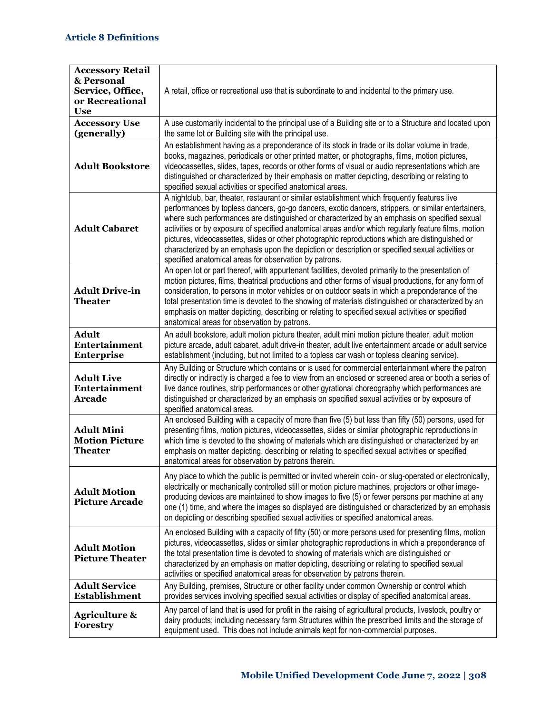| <b>Accessory Retail</b><br>& Personal<br>Service, Office,<br>or Recreational<br><b>Use</b> | A retail, office or recreational use that is subordinate to and incidental to the primary use.                                                                                                                                                                                                                                                                                                                                                                                                                                                                                                                                                                                 |
|--------------------------------------------------------------------------------------------|--------------------------------------------------------------------------------------------------------------------------------------------------------------------------------------------------------------------------------------------------------------------------------------------------------------------------------------------------------------------------------------------------------------------------------------------------------------------------------------------------------------------------------------------------------------------------------------------------------------------------------------------------------------------------------|
| <b>Accessory Use</b><br>(generally)                                                        | A use customarily incidental to the principal use of a Building site or to a Structure and located upon<br>the same lot or Building site with the principal use.                                                                                                                                                                                                                                                                                                                                                                                                                                                                                                               |
| <b>Adult Bookstore</b>                                                                     | An establishment having as a preponderance of its stock in trade or its dollar volume in trade,<br>books, magazines, periodicals or other printed matter, or photographs, films, motion pictures,<br>videocassettes, slides, tapes, records or other forms of visual or audio representations which are<br>distinguished or characterized by their emphasis on matter depicting, describing or relating to<br>specified sexual activities or specified anatomical areas.                                                                                                                                                                                                       |
| <b>Adult Cabaret</b>                                                                       | A nightclub, bar, theater, restaurant or similar establishment which frequently features live<br>performances by topless dancers, go-go dancers, exotic dancers, strippers, or similar entertainers,<br>where such performances are distinguished or characterized by an emphasis on specified sexual<br>activities or by exposure of specified anatomical areas and/or which regularly feature films, motion<br>pictures, videocassettes, slides or other photographic reproductions which are distinguished or<br>characterized by an emphasis upon the depiction or description or specified sexual activities or<br>specified anatomical areas for observation by patrons. |
| <b>Adult Drive-in</b><br><b>Theater</b>                                                    | An open lot or part thereof, with appurtenant facilities, devoted primarily to the presentation of<br>motion pictures, films, theatrical productions and other forms of visual productions, for any form of<br>consideration, to persons in motor vehicles or on outdoor seats in which a preponderance of the<br>total presentation time is devoted to the showing of materials distinguished or characterized by an<br>emphasis on matter depicting, describing or relating to specified sexual activities or specified<br>anatomical areas for observation by patrons.                                                                                                      |
| <b>Adult</b><br>Entertainment<br><b>Enterprise</b>                                         | An adult bookstore, adult motion picture theater, adult mini motion picture theater, adult motion<br>picture arcade, adult cabaret, adult drive-in theater, adult live entertainment arcade or adult service<br>establishment (including, but not limited to a topless car wash or topless cleaning service).                                                                                                                                                                                                                                                                                                                                                                  |
| <b>Adult Live</b><br>Entertainment<br><b>Arcade</b>                                        | Any Building or Structure which contains or is used for commercial entertainment where the patron<br>directly or indirectly is charged a fee to view from an enclosed or screened area or booth a series of<br>live dance routines, strip performances or other gyrational choreography which performances are<br>distinguished or characterized by an emphasis on specified sexual activities or by exposure of<br>specified anatomical areas.                                                                                                                                                                                                                                |
| <b>Adult Mini</b><br><b>Motion Picture</b><br><b>Theater</b>                               | An enclosed Building with a capacity of more than five (5) but less than fifty (50) persons, used for<br>presenting films, motion pictures, videocassettes, slides or similar photographic reproductions in<br>which time is devoted to the showing of materials which are distinguished or characterized by an<br>emphasis on matter depicting, describing or relating to specified sexual activities or specified<br>anatomical areas for observation by patrons therein.                                                                                                                                                                                                    |
| <b>Adult Motion</b><br><b>Picture Arcade</b>                                               | Any place to which the public is permitted or invited wherein coin- or slug-operated or electronically,<br>electrically or mechanically controlled still or motion picture machines, projectors or other image-<br>producing devices are maintained to show images to five (5) or fewer persons per machine at any<br>one (1) time, and where the images so displayed are distinguished or characterized by an emphasis<br>on depicting or describing specified sexual activities or specified anatomical areas.                                                                                                                                                               |
| <b>Adult Motion</b><br><b>Picture Theater</b>                                              | An enclosed Building with a capacity of fifty (50) or more persons used for presenting films, motion<br>pictures, videocassettes, slides or similar photographic reproductions in which a preponderance of<br>the total presentation time is devoted to showing of materials which are distinguished or<br>characterized by an emphasis on matter depicting, describing or relating to specified sexual<br>activities or specified anatomical areas for observation by patrons therein.                                                                                                                                                                                        |
| <b>Adult Service</b><br><b>Establishment</b>                                               | Any Building, premises, Structure or other facility under common Ownership or control which<br>provides services involving specified sexual activities or display of specified anatomical areas.                                                                                                                                                                                                                                                                                                                                                                                                                                                                               |
| <b>Agriculture &amp;</b><br>Forestry                                                       | Any parcel of land that is used for profit in the raising of agricultural products, livestock, poultry or<br>dairy products; including necessary farm Structures within the prescribed limits and the storage of<br>equipment used. This does not include animals kept for non-commercial purposes.                                                                                                                                                                                                                                                                                                                                                                            |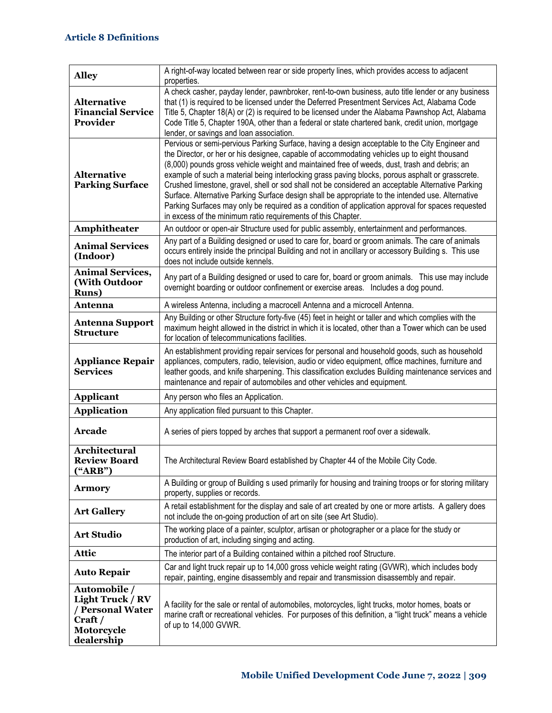| <b>Alley</b>                                                                                             | A right-of-way located between rear or side property lines, which provides access to adjacent<br>properties.                                                                                                                                                                                                                                                                                                                                                                                                                                                                                                                                                                                                                                                                      |
|----------------------------------------------------------------------------------------------------------|-----------------------------------------------------------------------------------------------------------------------------------------------------------------------------------------------------------------------------------------------------------------------------------------------------------------------------------------------------------------------------------------------------------------------------------------------------------------------------------------------------------------------------------------------------------------------------------------------------------------------------------------------------------------------------------------------------------------------------------------------------------------------------------|
| <b>Alternative</b><br><b>Financial Service</b><br>Provider                                               | A check casher, payday lender, pawnbroker, rent-to-own business, auto title lender or any business<br>that (1) is required to be licensed under the Deferred Presentment Services Act, Alabama Code<br>Title 5, Chapter 18(A) or (2) is required to be licensed under the Alabama Pawnshop Act, Alabama<br>Code Title 5, Chapter 190A, other than a federal or state chartered bank, credit union, mortgage<br>lender, or savings and loan association.                                                                                                                                                                                                                                                                                                                           |
| <b>Alternative</b><br><b>Parking Surface</b>                                                             | Pervious or semi-pervious Parking Surface, having a design acceptable to the City Engineer and<br>the Director, or her or his designee, capable of accommodating vehicles up to eight thousand<br>(8,000) pounds gross vehicle weight and maintained free of weeds, dust, trash and debris; an<br>example of such a material being interlocking grass paving blocks, porous asphalt or grasscrete.<br>Crushed limestone, gravel, shell or sod shall not be considered an acceptable Alternative Parking<br>Surface. Alternative Parking Surface design shall be appropriate to the intended use. Alternative<br>Parking Surfaces may only be required as a condition of application approval for spaces requested<br>in excess of the minimum ratio requirements of this Chapter. |
| Amphitheater                                                                                             | An outdoor or open-air Structure used for public assembly, entertainment and performances.                                                                                                                                                                                                                                                                                                                                                                                                                                                                                                                                                                                                                                                                                        |
| <b>Animal Services</b><br>(Indoor)                                                                       | Any part of a Building designed or used to care for, board or groom animals. The care of animals<br>occurs entirely inside the principal Building and not in ancillary or accessory Building s. This use<br>does not include outside kennels.                                                                                                                                                                                                                                                                                                                                                                                                                                                                                                                                     |
| <b>Animal Services,</b><br><b>(With Outdoor</b><br><b>Runs</b> )                                         | Any part of a Building designed or used to care for, board or groom animals.  This use may include<br>overnight boarding or outdoor confinement or exercise areas. Includes a dog pound.                                                                                                                                                                                                                                                                                                                                                                                                                                                                                                                                                                                          |
| Antenna                                                                                                  | A wireless Antenna, including a macrocell Antenna and a microcell Antenna.                                                                                                                                                                                                                                                                                                                                                                                                                                                                                                                                                                                                                                                                                                        |
| <b>Antenna Support</b><br><b>Structure</b>                                                               | Any Building or other Structure forty-five (45) feet in height or taller and which complies with the<br>maximum height allowed in the district in which it is located, other than a Tower which can be used<br>for location of telecommunications facilities.                                                                                                                                                                                                                                                                                                                                                                                                                                                                                                                     |
| <b>Appliance Repair</b><br><b>Services</b>                                                               | An establishment providing repair services for personal and household goods, such as household<br>appliances, computers, radio, television, audio or video equipment, office machines, furniture and<br>leather goods, and knife sharpening. This classification excludes Building maintenance services and<br>maintenance and repair of automobiles and other vehicles and equipment.                                                                                                                                                                                                                                                                                                                                                                                            |
| <b>Applicant</b>                                                                                         | Any person who files an Application.                                                                                                                                                                                                                                                                                                                                                                                                                                                                                                                                                                                                                                                                                                                                              |
| <b>Application</b>                                                                                       | Any application filed pursuant to this Chapter.                                                                                                                                                                                                                                                                                                                                                                                                                                                                                                                                                                                                                                                                                                                                   |
| <b>Arcade</b>                                                                                            | A series of piers topped by arches that support a permanent roof over a sidewalk.                                                                                                                                                                                                                                                                                                                                                                                                                                                                                                                                                                                                                                                                                                 |
| <b>Architectural</b><br><b>Review Board</b><br>"ARB")                                                    | The Architectural Review Board established by Chapter 44 of the Mobile City Code.                                                                                                                                                                                                                                                                                                                                                                                                                                                                                                                                                                                                                                                                                                 |
| <b>Armory</b>                                                                                            | A Building or group of Building s used primarily for housing and training troops or for storing military<br>property, supplies or records.                                                                                                                                                                                                                                                                                                                                                                                                                                                                                                                                                                                                                                        |
| <b>Art Gallery</b>                                                                                       | A retail establishment for the display and sale of art created by one or more artists. A gallery does<br>not include the on-going production of art on site (see Art Studio).                                                                                                                                                                                                                                                                                                                                                                                                                                                                                                                                                                                                     |
| <b>Art Studio</b>                                                                                        | The working place of a painter, sculptor, artisan or photographer or a place for the study or<br>production of art, including singing and acting.                                                                                                                                                                                                                                                                                                                                                                                                                                                                                                                                                                                                                                 |
| Attic                                                                                                    | The interior part of a Building contained within a pitched roof Structure.                                                                                                                                                                                                                                                                                                                                                                                                                                                                                                                                                                                                                                                                                                        |
| <b>Auto Repair</b>                                                                                       | Car and light truck repair up to 14,000 gross vehicle weight rating (GVWR), which includes body<br>repair, painting, engine disassembly and repair and transmission disassembly and repair.                                                                                                                                                                                                                                                                                                                                                                                                                                                                                                                                                                                       |
| <b>Automobile /</b><br><b>Light Truck / RV</b><br>/ Personal Water<br>Craft/<br>Motorcycle<br>dealership | A facility for the sale or rental of automobiles, motorcycles, light trucks, motor homes, boats or<br>marine craft or recreational vehicles. For purposes of this definition, a "light truck" means a vehicle<br>of up to 14,000 GVWR.                                                                                                                                                                                                                                                                                                                                                                                                                                                                                                                                            |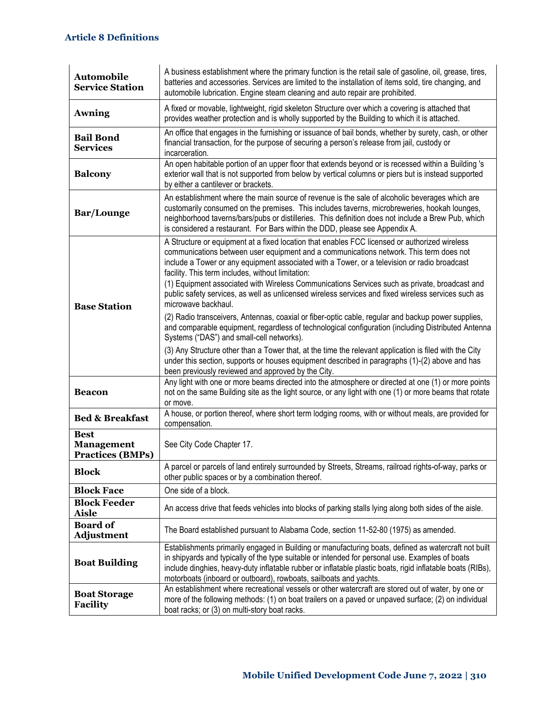| <b>Automobile</b><br><b>Service Station</b>                 | A business establishment where the primary function is the retail sale of gasoline, oil, grease, tires,<br>batteries and accessories. Services are limited to the installation of items sold, tire changing, and<br>automobile lubrication. Engine steam cleaning and auto repair are prohibited.                                                                                                                                                                                                                                                                           |
|-------------------------------------------------------------|-----------------------------------------------------------------------------------------------------------------------------------------------------------------------------------------------------------------------------------------------------------------------------------------------------------------------------------------------------------------------------------------------------------------------------------------------------------------------------------------------------------------------------------------------------------------------------|
| <b>Awning</b>                                               | A fixed or movable, lightweight, rigid skeleton Structure over which a covering is attached that<br>provides weather protection and is wholly supported by the Building to which it is attached.                                                                                                                                                                                                                                                                                                                                                                            |
| <b>Bail Bond</b><br><b>Services</b>                         | An office that engages in the furnishing or issuance of bail bonds, whether by surety, cash, or other<br>financial transaction, for the purpose of securing a person's release from jail, custody or<br>incarceration.                                                                                                                                                                                                                                                                                                                                                      |
| <b>Balcony</b>                                              | An open habitable portion of an upper floor that extends beyond or is recessed within a Building 's<br>exterior wall that is not supported from below by vertical columns or piers but is instead supported<br>by either a cantilever or brackets.                                                                                                                                                                                                                                                                                                                          |
| <b>Bar/Lounge</b>                                           | An establishment where the main source of revenue is the sale of alcoholic beverages which are<br>customarily consumed on the premises. This includes taverns, microbreweries, hookah lounges,<br>neighborhood taverns/bars/pubs or distilleries. This definition does not include a Brew Pub, which<br>is considered a restaurant. For Bars within the DDD, please see Appendix A.                                                                                                                                                                                         |
| <b>Base Station</b>                                         | A Structure or equipment at a fixed location that enables FCC licensed or authorized wireless<br>communications between user equipment and a communications network. This term does not<br>include a Tower or any equipment associated with a Tower, or a television or radio broadcast<br>facility. This term includes, without limitation:<br>(1) Equipment associated with Wireless Communications Services such as private, broadcast and<br>public safety services, as well as unlicensed wireless services and fixed wireless services such as<br>microwave backhaul. |
|                                                             | (2) Radio transceivers, Antennas, coaxial or fiber-optic cable, regular and backup power supplies,<br>and comparable equipment, regardless of technological configuration (including Distributed Antenna<br>Systems ("DAS") and small-cell networks).                                                                                                                                                                                                                                                                                                                       |
|                                                             | (3) Any Structure other than a Tower that, at the time the relevant application is filed with the City<br>under this section, supports or houses equipment described in paragraphs (1)-(2) above and has<br>been previously reviewed and approved by the City.                                                                                                                                                                                                                                                                                                              |
| <b>Beacon</b>                                               | Any light with one or more beams directed into the atmosphere or directed at one (1) or more points<br>not on the same Building site as the light source, or any light with one (1) or more beams that rotate<br>or move.                                                                                                                                                                                                                                                                                                                                                   |
| <b>Bed &amp; Breakfast</b>                                  | A house, or portion thereof, where short term lodging rooms, with or without meals, are provided for<br>compensation.                                                                                                                                                                                                                                                                                                                                                                                                                                                       |
| <b>Best</b><br><b>Management</b><br><b>Practices (BMPs)</b> | See City Code Chapter 17.                                                                                                                                                                                                                                                                                                                                                                                                                                                                                                                                                   |
| <b>Block</b>                                                | A parcel or parcels of land entirely surrounded by Streets, Streams, railroad rights-of-way, parks or<br>other public spaces or by a combination thereof.                                                                                                                                                                                                                                                                                                                                                                                                                   |
| <b>Block Face</b>                                           | One side of a block.                                                                                                                                                                                                                                                                                                                                                                                                                                                                                                                                                        |
| <b>Block Feeder</b><br><b>Aisle</b>                         | An access drive that feeds vehicles into blocks of parking stalls lying along both sides of the aisle.                                                                                                                                                                                                                                                                                                                                                                                                                                                                      |
| <b>Board of</b><br><b>Adjustment</b>                        | The Board established pursuant to Alabama Code, section 11-52-80 (1975) as amended.                                                                                                                                                                                                                                                                                                                                                                                                                                                                                         |
| <b>Boat Building</b>                                        | Establishments primarily engaged in Building or manufacturing boats, defined as watercraft not built<br>in shipyards and typically of the type suitable or intended for personal use. Examples of boats<br>include dinghies, heavy-duty inflatable rubber or inflatable plastic boats, rigid inflatable boats (RIBs),<br>motorboats (inboard or outboard), rowboats, sailboats and yachts.                                                                                                                                                                                  |
| <b>Boat Storage</b><br><b>Facility</b>                      | An establishment where recreational vessels or other watercraft are stored out of water, by one or<br>more of the following methods: (1) on boat trailers on a paved or unpaved surface; (2) on individual<br>boat racks; or (3) on multi-story boat racks.                                                                                                                                                                                                                                                                                                                 |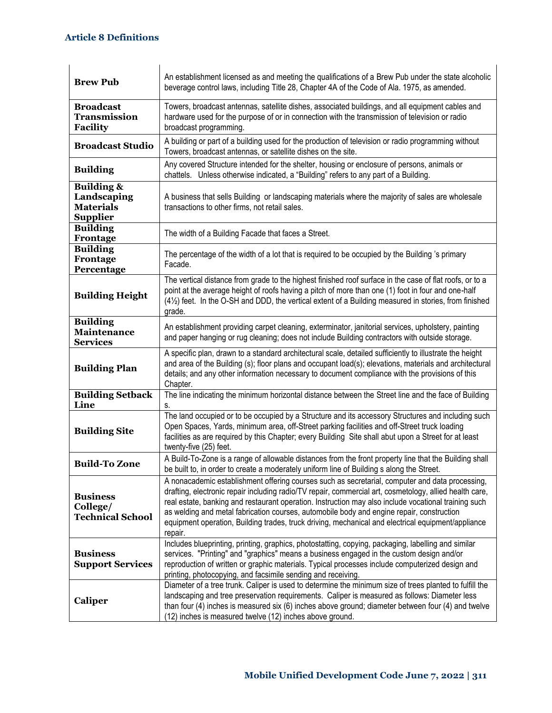| <b>Brew Pub</b>                                                             | An establishment licensed as and meeting the qualifications of a Brew Pub under the state alcoholic<br>beverage control laws, including Title 28, Chapter 4A of the Code of Ala. 1975, as amended.                                                                                                                                                                                                                                                                                                                               |
|-----------------------------------------------------------------------------|----------------------------------------------------------------------------------------------------------------------------------------------------------------------------------------------------------------------------------------------------------------------------------------------------------------------------------------------------------------------------------------------------------------------------------------------------------------------------------------------------------------------------------|
| <b>Broadcast</b><br><b>Transmission</b><br><b>Facility</b>                  | Towers, broadcast antennas, satellite dishes, associated buildings, and all equipment cables and<br>hardware used for the purpose of or in connection with the transmission of television or radio<br>broadcast programming.                                                                                                                                                                                                                                                                                                     |
| <b>Broadcast Studio</b>                                                     | A building or part of a building used for the production of television or radio programming without<br>Towers, broadcast antennas, or satellite dishes on the site.                                                                                                                                                                                                                                                                                                                                                              |
| <b>Building</b>                                                             | Any covered Structure intended for the shelter, housing or enclosure of persons, animals or<br>chattels. Unless otherwise indicated, a "Building" refers to any part of a Building.                                                                                                                                                                                                                                                                                                                                              |
| <b>Building &amp;</b><br>Landscaping<br><b>Materials</b><br><b>Supplier</b> | A business that sells Building or landscaping materials where the majority of sales are wholesale<br>transactions to other firms, not retail sales.                                                                                                                                                                                                                                                                                                                                                                              |
| <b>Building</b><br>Frontage                                                 | The width of a Building Facade that faces a Street.                                                                                                                                                                                                                                                                                                                                                                                                                                                                              |
| <b>Building</b><br>Frontage<br>Percentage                                   | The percentage of the width of a lot that is required to be occupied by the Building 's primary<br>Facade.                                                                                                                                                                                                                                                                                                                                                                                                                       |
| <b>Building Height</b>                                                      | The vertical distance from grade to the highest finished roof surface in the case of flat roofs, or to a<br>point at the average height of roofs having a pitch of more than one (1) foot in four and one-half<br>(41/2) feet. In the O-SH and DDD, the vertical extent of a Building measured in stories, from finished<br>grade.                                                                                                                                                                                               |
| <b>Building</b><br><b>Maintenance</b><br><b>Services</b>                    | An establishment providing carpet cleaning, exterminator, janitorial services, upholstery, painting<br>and paper hanging or rug cleaning; does not include Building contractors with outside storage.                                                                                                                                                                                                                                                                                                                            |
| <b>Building Plan</b>                                                        | A specific plan, drawn to a standard architectural scale, detailed sufficiently to illustrate the height<br>and area of the Building (s); floor plans and occupant load(s); elevations, materials and architectural<br>details; and any other information necessary to document compliance with the provisions of this<br>Chapter.                                                                                                                                                                                               |
| <b>Building Setback</b><br>Line                                             | The line indicating the minimum horizontal distance between the Street line and the face of Building<br>s.                                                                                                                                                                                                                                                                                                                                                                                                                       |
| <b>Building Site</b>                                                        | The land occupied or to be occupied by a Structure and its accessory Structures and including such<br>Open Spaces, Yards, minimum area, off-Street parking facilities and off-Street truck loading<br>facilities as are required by this Chapter; every Building Site shall abut upon a Street for at least<br>twenty-five (25) feet.                                                                                                                                                                                            |
| <b>Build-To Zone</b>                                                        | A Build-To-Zone is a range of allowable distances from the front property line that the Building shall<br>be built to, in order to create a moderately uniform line of Building s along the Street.                                                                                                                                                                                                                                                                                                                              |
| <b>Business</b><br>College/<br><b>Technical School</b>                      | A nonacademic establishment offering courses such as secretarial, computer and data processing,<br>drafting, electronic repair including radio/TV repair, commercial art, cosmetology, allied health care,<br>real estate, banking and restaurant operation. Instruction may also include vocational training such<br>as welding and metal fabrication courses, automobile body and engine repair, construction<br>equipment operation, Building trades, truck driving, mechanical and electrical equipment/appliance<br>repair. |
| <b>Business</b><br><b>Support Services</b>                                  | Includes blueprinting, printing, graphics, photostatting, copying, packaging, labelling and similar<br>services. "Printing" and "graphics" means a business engaged in the custom design and/or<br>reproduction of written or graphic materials. Typical processes include computerized design and<br>printing, photocopying, and facsimile sending and receiving.                                                                                                                                                               |
| Caliper                                                                     | Diameter of a tree trunk. Caliper is used to determine the minimum size of trees planted to fulfill the<br>landscaping and tree preservation requirements. Caliper is measured as follows: Diameter less<br>than four (4) inches is measured six (6) inches above ground; diameter between four (4) and twelve<br>(12) inches is measured twelve (12) inches above ground.                                                                                                                                                       |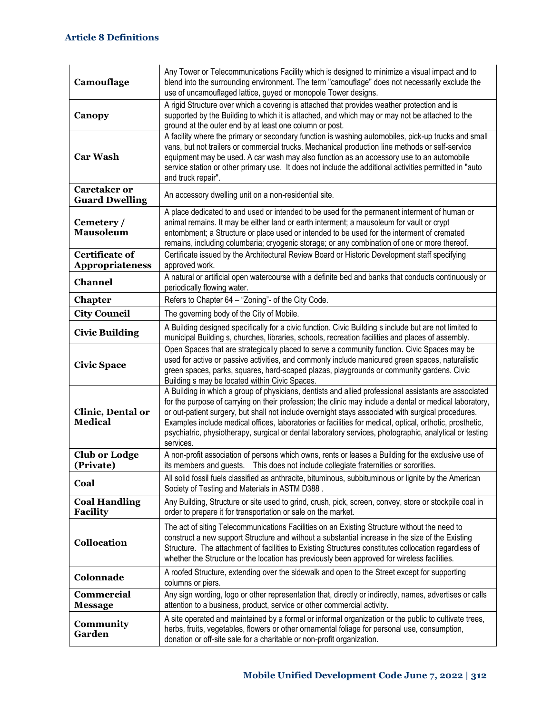| Camouflage                                      | Any Tower or Telecommunications Facility which is designed to minimize a visual impact and to<br>blend into the surrounding environment. The term "camouflage" does not necessarily exclude the<br>use of uncamouflaged lattice, guyed or monopole Tower designs.                                                                                                                                                                                                                                                                                          |
|-------------------------------------------------|------------------------------------------------------------------------------------------------------------------------------------------------------------------------------------------------------------------------------------------------------------------------------------------------------------------------------------------------------------------------------------------------------------------------------------------------------------------------------------------------------------------------------------------------------------|
| Canopy                                          | A rigid Structure over which a covering is attached that provides weather protection and is<br>supported by the Building to which it is attached, and which may or may not be attached to the<br>ground at the outer end by at least one column or post.                                                                                                                                                                                                                                                                                                   |
| <b>Car Wash</b>                                 | A facility where the primary or secondary function is washing automobiles, pick-up trucks and small<br>vans, but not trailers or commercial trucks. Mechanical production line methods or self-service<br>equipment may be used. A car wash may also function as an accessory use to an automobile<br>service station or other primary use. It does not include the additional activities permitted in "auto<br>and truck repair".                                                                                                                         |
| <b>Caretaker or</b><br><b>Guard Dwelling</b>    | An accessory dwelling unit on a non-residential site.                                                                                                                                                                                                                                                                                                                                                                                                                                                                                                      |
| Cemetery /<br><b>Mausoleum</b>                  | A place dedicated to and used or intended to be used for the permanent interment of human or<br>animal remains. It may be either land or earth interment; a mausoleum for vault or crypt<br>entombment; a Structure or place used or intended to be used for the interment of cremated<br>remains, including columbaria; cryogenic storage; or any combination of one or more thereof.                                                                                                                                                                     |
| <b>Certificate of</b><br><b>Appropriateness</b> | Certificate issued by the Architectural Review Board or Historic Development staff specifying<br>approved work.                                                                                                                                                                                                                                                                                                                                                                                                                                            |
| <b>Channel</b>                                  | A natural or artificial open watercourse with a definite bed and banks that conducts continuously or<br>periodically flowing water.                                                                                                                                                                                                                                                                                                                                                                                                                        |
| <b>Chapter</b>                                  | Refers to Chapter 64 - "Zoning"- of the City Code.                                                                                                                                                                                                                                                                                                                                                                                                                                                                                                         |
| <b>City Council</b>                             | The governing body of the City of Mobile.                                                                                                                                                                                                                                                                                                                                                                                                                                                                                                                  |
| <b>Civic Building</b>                           | A Building designed specifically for a civic function. Civic Building s include but are not limited to<br>municipal Building s, churches, libraries, schools, recreation facilities and places of assembly.                                                                                                                                                                                                                                                                                                                                                |
| <b>Civic Space</b>                              | Open Spaces that are strategically placed to serve a community function. Civic Spaces may be<br>used for active or passive activities, and commonly include manicured green spaces, naturalistic<br>green spaces, parks, squares, hard-scaped plazas, playgrounds or community gardens. Civic<br>Building s may be located within Civic Spaces.                                                                                                                                                                                                            |
| Clinic, Dental or<br><b>Medical</b>             | A Building in which a group of physicians, dentists and allied professional assistants are associated<br>for the purpose of carrying on their profession; the clinic may include a dental or medical laboratory,<br>or out-patient surgery, but shall not include overnight stays associated with surgical procedures.<br>Examples include medical offices, laboratories or facilities for medical, optical, orthotic, prosthetic,<br>psychiatric, physiotherapy, surgical or dental laboratory services, photographic, analytical or testing<br>services. |
| <b>Club or Lodge</b><br>(Private)               | A non-profit association of persons which owns, rents or leases a Building for the exclusive use of<br>its members and guests.  This does not include collegiate fraternities or sororities.                                                                                                                                                                                                                                                                                                                                                               |
| Coal                                            | All solid fossil fuels classified as anthracite, bituminous, subbituminous or lignite by the American<br>Society of Testing and Materials in ASTM D388.                                                                                                                                                                                                                                                                                                                                                                                                    |
| <b>Coal Handling</b><br><b>Facility</b>         | Any Building, Structure or site used to grind, crush, pick, screen, convey, store or stockpile coal in<br>order to prepare it for transportation or sale on the market.                                                                                                                                                                                                                                                                                                                                                                                    |
| <b>Collocation</b>                              | The act of siting Telecommunications Facilities on an Existing Structure without the need to<br>construct a new support Structure and without a substantial increase in the size of the Existing<br>Structure. The attachment of facilities to Existing Structures constitutes collocation regardless of<br>whether the Structure or the location has previously been approved for wireless facilities.                                                                                                                                                    |
| Colonnade                                       | A roofed Structure, extending over the sidewalk and open to the Street except for supporting<br>columns or piers.                                                                                                                                                                                                                                                                                                                                                                                                                                          |
| <b>Commercial</b><br><b>Message</b>             | Any sign wording, logo or other representation that, directly or indirectly, names, advertises or calls<br>attention to a business, product, service or other commercial activity.                                                                                                                                                                                                                                                                                                                                                                         |
| Community<br>Garden                             | A site operated and maintained by a formal or informal organization or the public to cultivate trees,<br>herbs, fruits, vegetables, flowers or other ornamental foliage for personal use, consumption,<br>donation or off-site sale for a charitable or non-profit organization.                                                                                                                                                                                                                                                                           |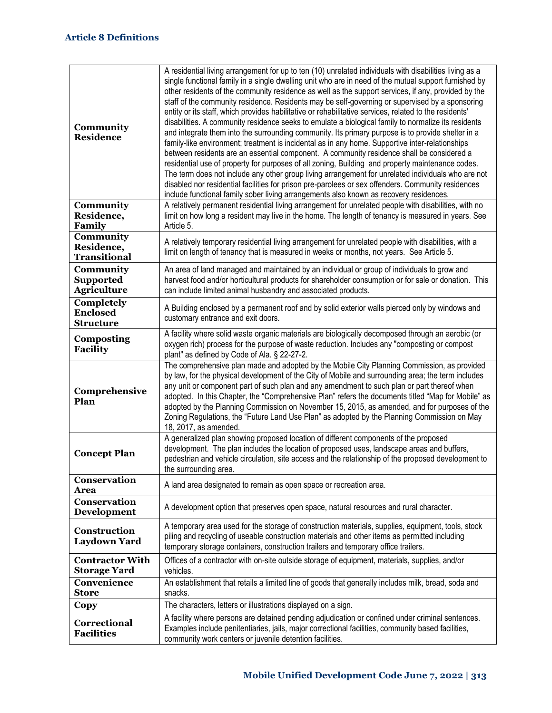| Community<br><b>Residence</b>                       | A residential living arrangement for up to ten (10) unrelated individuals with disabilities living as a<br>single functional family in a single dwelling unit who are in need of the mutual support furnished by<br>other residents of the community residence as well as the support services, if any, provided by the<br>staff of the community residence. Residents may be self-governing or supervised by a sponsoring<br>entity or its staff, which provides habilitative or rehabilitative services, related to the residents'<br>disabilities. A community residence seeks to emulate a biological family to normalize its residents<br>and integrate them into the surrounding community. Its primary purpose is to provide shelter in a<br>family-like environment; treatment is incidental as in any home. Supportive inter-relationships<br>between residents are an essential component. A community residence shall be considered a<br>residential use of property for purposes of all zoning, Building and property maintenance codes.<br>The term does not include any other group living arrangement for unrelated individuals who are not<br>disabled nor residential facilities for prison pre-parolees or sex offenders. Community residences<br>include functional family sober living arrangements also known as recovery residences. |
|-----------------------------------------------------|------------------------------------------------------------------------------------------------------------------------------------------------------------------------------------------------------------------------------------------------------------------------------------------------------------------------------------------------------------------------------------------------------------------------------------------------------------------------------------------------------------------------------------------------------------------------------------------------------------------------------------------------------------------------------------------------------------------------------------------------------------------------------------------------------------------------------------------------------------------------------------------------------------------------------------------------------------------------------------------------------------------------------------------------------------------------------------------------------------------------------------------------------------------------------------------------------------------------------------------------------------------------------------------------------------------------------------------------------------|
| Community<br>Residence,<br>Family                   | A relatively permanent residential living arrangement for unrelated people with disabilities, with no<br>limit on how long a resident may live in the home. The length of tenancy is measured in years. See<br>Article 5.                                                                                                                                                                                                                                                                                                                                                                                                                                                                                                                                                                                                                                                                                                                                                                                                                                                                                                                                                                                                                                                                                                                                  |
| Community<br>Residence,<br><b>Transitional</b>      | A relatively temporary residential living arrangement for unrelated people with disabilities, with a<br>limit on length of tenancy that is measured in weeks or months, not years. See Article 5.                                                                                                                                                                                                                                                                                                                                                                                                                                                                                                                                                                                                                                                                                                                                                                                                                                                                                                                                                                                                                                                                                                                                                          |
| Community<br><b>Supported</b><br><b>Agriculture</b> | An area of land managed and maintained by an individual or group of individuals to grow and<br>harvest food and/or horticultural products for shareholder consumption or for sale or donation. This<br>can include limited animal husbandry and associated products.                                                                                                                                                                                                                                                                                                                                                                                                                                                                                                                                                                                                                                                                                                                                                                                                                                                                                                                                                                                                                                                                                       |
| Completely<br><b>Enclosed</b><br><b>Structure</b>   | A Building enclosed by a permanent roof and by solid exterior walls pierced only by windows and<br>customary entrance and exit doors.                                                                                                                                                                                                                                                                                                                                                                                                                                                                                                                                                                                                                                                                                                                                                                                                                                                                                                                                                                                                                                                                                                                                                                                                                      |
| <b>Composting</b><br><b>Facility</b>                | A facility where solid waste organic materials are biologically decomposed through an aerobic (or<br>oxygen rich) process for the purpose of waste reduction. Includes any "composting or compost<br>plant" as defined by Code of Ala. § 22-27-2.                                                                                                                                                                                                                                                                                                                                                                                                                                                                                                                                                                                                                                                                                                                                                                                                                                                                                                                                                                                                                                                                                                          |
| Comprehensive<br>Plan                               | The comprehensive plan made and adopted by the Mobile City Planning Commission, as provided<br>by law, for the physical development of the City of Mobile and surrounding area; the term includes<br>any unit or component part of such plan and any amendment to such plan or part thereof when<br>adopted. In this Chapter, the "Comprehensive Plan" refers the documents titled "Map for Mobile" as<br>adopted by the Planning Commission on November 15, 2015, as amended, and for purposes of the<br>Zoning Regulations, the "Future Land Use Plan" as adopted by the Planning Commission on May<br>18, 2017, as amended.                                                                                                                                                                                                                                                                                                                                                                                                                                                                                                                                                                                                                                                                                                                             |
| <b>Concept Plan</b>                                 | A generalized plan showing proposed location of different components of the proposed<br>development. The plan includes the location of proposed uses, landscape areas and buffers,<br>pedestrian and vehicle circulation, site access and the relationship of the proposed development to<br>the surrounding area.                                                                                                                                                                                                                                                                                                                                                                                                                                                                                                                                                                                                                                                                                                                                                                                                                                                                                                                                                                                                                                         |
| Conservation<br>Area                                | A land area designated to remain as open space or recreation area.                                                                                                                                                                                                                                                                                                                                                                                                                                                                                                                                                                                                                                                                                                                                                                                                                                                                                                                                                                                                                                                                                                                                                                                                                                                                                         |
| Conservation<br>Development                         | A development option that preserves open space, natural resources and rural character.                                                                                                                                                                                                                                                                                                                                                                                                                                                                                                                                                                                                                                                                                                                                                                                                                                                                                                                                                                                                                                                                                                                                                                                                                                                                     |
| Construction<br>Laydown Yard                        | A temporary area used for the storage of construction materials, supplies, equipment, tools, stock<br>piling and recycling of useable construction materials and other items as permitted including<br>temporary storage containers, construction trailers and temporary office trailers.                                                                                                                                                                                                                                                                                                                                                                                                                                                                                                                                                                                                                                                                                                                                                                                                                                                                                                                                                                                                                                                                  |
| <b>Contractor With</b><br><b>Storage Yard</b>       | Offices of a contractor with on-site outside storage of equipment, materials, supplies, and/or<br>vehicles.                                                                                                                                                                                                                                                                                                                                                                                                                                                                                                                                                                                                                                                                                                                                                                                                                                                                                                                                                                                                                                                                                                                                                                                                                                                |
| Convenience<br>Store                                | An establishment that retails a limited line of goods that generally includes milk, bread, soda and<br>snacks.                                                                                                                                                                                                                                                                                                                                                                                                                                                                                                                                                                                                                                                                                                                                                                                                                                                                                                                                                                                                                                                                                                                                                                                                                                             |
| Copy                                                | The characters, letters or illustrations displayed on a sign.                                                                                                                                                                                                                                                                                                                                                                                                                                                                                                                                                                                                                                                                                                                                                                                                                                                                                                                                                                                                                                                                                                                                                                                                                                                                                              |
| Correctional<br><b>Facilities</b>                   | A facility where persons are detained pending adjudication or confined under criminal sentences.<br>Examples include penitentiaries, jails, major correctional facilities, community based facilities,<br>community work centers or juvenile detention facilities.                                                                                                                                                                                                                                                                                                                                                                                                                                                                                                                                                                                                                                                                                                                                                                                                                                                                                                                                                                                                                                                                                         |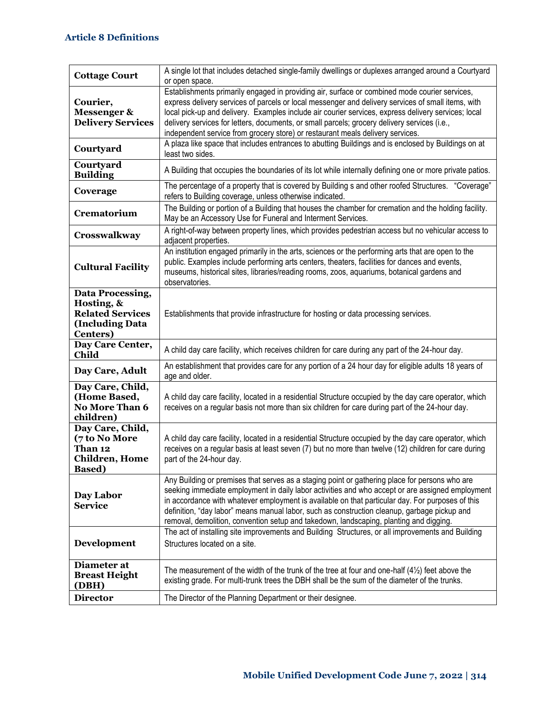| <b>Cottage Court</b>                                                                             | A single lot that includes detached single-family dwellings or duplexes arranged around a Courtyard<br>or open space.                                                                                                                                                                                                                                                                                                                                                                            |
|--------------------------------------------------------------------------------------------------|--------------------------------------------------------------------------------------------------------------------------------------------------------------------------------------------------------------------------------------------------------------------------------------------------------------------------------------------------------------------------------------------------------------------------------------------------------------------------------------------------|
| Courier,<br>Messenger &<br><b>Delivery Services</b>                                              | Establishments primarily engaged in providing air, surface or combined mode courier services,<br>express delivery services of parcels or local messenger and delivery services of small items, with<br>local pick-up and delivery. Examples include air courier services, express delivery services; local<br>delivery services for letters, documents, or small parcels; grocery delivery services (i.e.,<br>independent service from grocery store) or restaurant meals delivery services.     |
| Courtyard                                                                                        | A plaza like space that includes entrances to abutting Buildings and is enclosed by Buildings on at<br>least two sides.                                                                                                                                                                                                                                                                                                                                                                          |
| Courtyard<br><b>Building</b>                                                                     | A Building that occupies the boundaries of its lot while internally defining one or more private patios.                                                                                                                                                                                                                                                                                                                                                                                         |
| Coverage                                                                                         | The percentage of a property that is covered by Building s and other roofed Structures. "Coverage"<br>refers to Building coverage, unless otherwise indicated.                                                                                                                                                                                                                                                                                                                                   |
| Crematorium                                                                                      | The Building or portion of a Building that houses the chamber for cremation and the holding facility.<br>May be an Accessory Use for Funeral and Interment Services.                                                                                                                                                                                                                                                                                                                             |
| Crosswalkway                                                                                     | A right-of-way between property lines, which provides pedestrian access but no vehicular access to<br>adjacent properties.                                                                                                                                                                                                                                                                                                                                                                       |
| <b>Cultural Facility</b>                                                                         | An institution engaged primarily in the arts, sciences or the performing arts that are open to the<br>public. Examples include performing arts centers, theaters, facilities for dances and events,<br>museums, historical sites, libraries/reading rooms, zoos, aquariums, botanical gardens and<br>observatories.                                                                                                                                                                              |
| Data Processing,<br>Hosting, &<br><b>Related Services</b><br>(Including Data<br><b>Centers</b> ) | Establishments that provide infrastructure for hosting or data processing services.                                                                                                                                                                                                                                                                                                                                                                                                              |
| Day Care Center,<br>Child                                                                        | A child day care facility, which receives children for care during any part of the 24-hour day.                                                                                                                                                                                                                                                                                                                                                                                                  |
| Day Care, Adult                                                                                  | An establishment that provides care for any portion of a 24 hour day for eligible adults 18 years of<br>age and older.                                                                                                                                                                                                                                                                                                                                                                           |
| Day Care, Child,<br>(Home Based,<br><b>No More Than 6</b><br>children)                           | A child day care facility, located in a residential Structure occupied by the day care operator, which<br>receives on a regular basis not more than six children for care during part of the 24-hour day.                                                                                                                                                                                                                                                                                        |
| Day Care, Child,<br>(7 to No More<br>Than 12<br><b>Children</b> , Home<br><b>Based</b> )         | A child day care facility, located in a residential Structure occupied by the day care operator, which<br>receives on a regular basis at least seven (7) but no more than twelve (12) children for care during<br>part of the 24-hour day.                                                                                                                                                                                                                                                       |
| Day Labor<br><b>Service</b>                                                                      | Any Building or premises that serves as a staging point or gathering place for persons who are<br>seeking immediate employment in daily labor activities and who accept or are assigned employment<br>in accordance with whatever employment is available on that particular day. For purposes of this<br>definition, "day labor" means manual labor, such as construction cleanup, garbage pickup and<br>removal, demolition, convention setup and takedown, landscaping, planting and digging. |
| Development                                                                                      | The act of installing site improvements and Building Structures, or all improvements and Building<br>Structures located on a site.                                                                                                                                                                                                                                                                                                                                                               |
| Diameter at<br><b>Breast Height</b><br>(DBH)                                                     | The measurement of the width of the trunk of the tree at four and one-half $(4\frac{1}{2})$ feet above the<br>existing grade. For multi-trunk trees the DBH shall be the sum of the diameter of the trunks.                                                                                                                                                                                                                                                                                      |
| <b>Director</b>                                                                                  | The Director of the Planning Department or their designee.                                                                                                                                                                                                                                                                                                                                                                                                                                       |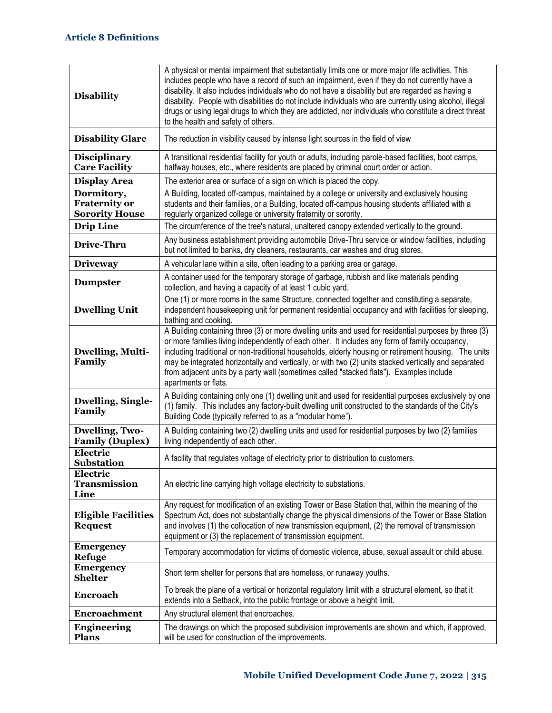| <b>Disability</b>                                           | A physical or mental impairment that substantially limits one or more major life activities. This<br>includes people who have a record of such an impairment, even if they do not currently have a<br>disability. It also includes individuals who do not have a disability but are regarded as having a<br>disability. People with disabilities do not include individuals who are currently using alcohol, illegal<br>drugs or using legal drugs to which they are addicted, nor individuals who constitute a direct threat<br>to the health and safety of others. |
|-------------------------------------------------------------|----------------------------------------------------------------------------------------------------------------------------------------------------------------------------------------------------------------------------------------------------------------------------------------------------------------------------------------------------------------------------------------------------------------------------------------------------------------------------------------------------------------------------------------------------------------------|
| <b>Disability Glare</b>                                     | The reduction in visibility caused by intense light sources in the field of view                                                                                                                                                                                                                                                                                                                                                                                                                                                                                     |
| <b>Disciplinary</b><br><b>Care Facility</b>                 | A transitional residential facility for youth or adults, including parole-based facilities, boot camps,<br>halfway houses, etc., where residents are placed by criminal court order or action.                                                                                                                                                                                                                                                                                                                                                                       |
| <b>Display Area</b>                                         | The exterior area or surface of a sign on which is placed the copy.                                                                                                                                                                                                                                                                                                                                                                                                                                                                                                  |
| Dormitory,<br><b>Fraternity or</b><br><b>Sorority House</b> | A Building, located off-campus, maintained by a college or university and exclusively housing<br>students and their families, or a Building, located off-campus housing students affiliated with a<br>regularly organized college or university fraternity or sorority.                                                                                                                                                                                                                                                                                              |
| <b>Drip Line</b>                                            | The circumference of the tree's natural, unaltered canopy extended vertically to the ground.                                                                                                                                                                                                                                                                                                                                                                                                                                                                         |
| Drive-Thru                                                  | Any business establishment providing automobile Drive-Thru service or window facilities, including<br>but not limited to banks, dry cleaners, restaurants, car washes and drug stores.                                                                                                                                                                                                                                                                                                                                                                               |
| <b>Driveway</b>                                             | A vehicular lane within a site, often leading to a parking area or garage.                                                                                                                                                                                                                                                                                                                                                                                                                                                                                           |
| <b>Dumpster</b>                                             | A container used for the temporary storage of garbage, rubbish and like materials pending<br>collection, and having a capacity of at least 1 cubic yard.                                                                                                                                                                                                                                                                                                                                                                                                             |
| <b>Dwelling Unit</b>                                        | One (1) or more rooms in the same Structure, connected together and constituting a separate,<br>independent housekeeping unit for permanent residential occupancy and with facilities for sleeping,<br>bathing and cooking.                                                                                                                                                                                                                                                                                                                                          |
| Dwelling, Multi-<br>Family                                  | A Building containing three (3) or more dwelling units and used for residential purposes by three (3)<br>or more families living independently of each other. It includes any form of family occupancy,<br>including traditional or non-traditional households, elderly housing or retirement housing. The units<br>may be integrated horizontally and vertically, or with two (2) units stacked vertically and separated<br>from adjacent units by a party wall (sometimes called "stacked flats"). Examples include<br>apartments or flats.                        |
| <b>Dwelling, Single-</b><br>Family                          | A Building containing only one (1) dwelling unit and used for residential purposes exclusively by one<br>(1) family. This includes any factory-built dwelling unit constructed to the standards of the City's<br>Building Code (typically referred to as a "modular home").                                                                                                                                                                                                                                                                                          |
| <b>Dwelling, Two-</b><br><b>Family (Duplex)</b>             | A Building containing two (2) dwelling units and used for residential purposes by two (2) families<br>living independently of each other.                                                                                                                                                                                                                                                                                                                                                                                                                            |
| Electric<br><b>Substation</b>                               | A facility that regulates voltage of electricity prior to distribution to customers.                                                                                                                                                                                                                                                                                                                                                                                                                                                                                 |
| Electric<br><b>Transmission</b><br>Line                     | An electric line carrying high voltage electricity to substations.                                                                                                                                                                                                                                                                                                                                                                                                                                                                                                   |
| <b>Eligible Facilities</b><br><b>Request</b>                | Any request for modification of an existing Tower or Base Station that, within the meaning of the<br>Spectrum Act, does not substantially change the physical dimensions of the Tower or Base Station<br>and involves (1) the collocation of new transmission equipment, (2) the removal of transmission<br>equipment or (3) the replacement of transmission equipment.                                                                                                                                                                                              |
| <b>Emergency</b><br><b>Refuge</b>                           | Temporary accommodation for victims of domestic violence, abuse, sexual assault or child abuse.                                                                                                                                                                                                                                                                                                                                                                                                                                                                      |
| <b>Emergency</b><br><b>Shelter</b>                          | Short term shelter for persons that are homeless, or runaway youths.                                                                                                                                                                                                                                                                                                                                                                                                                                                                                                 |
| Encroach                                                    | To break the plane of a vertical or horizontal regulatory limit with a structural element, so that it<br>extends into a Setback, into the public frontage or above a height limit.                                                                                                                                                                                                                                                                                                                                                                                   |
| <b>Encroachment</b>                                         | Any structural element that encroaches.                                                                                                                                                                                                                                                                                                                                                                                                                                                                                                                              |
| <b>Engineering</b><br><b>Plans</b>                          | The drawings on which the proposed subdivision improvements are shown and which, if approved,<br>will be used for construction of the improvements.                                                                                                                                                                                                                                                                                                                                                                                                                  |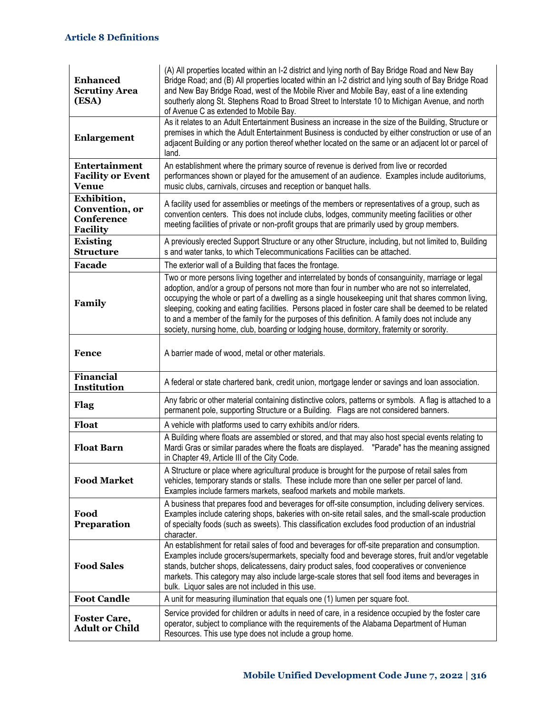| <b>Enhanced</b><br><b>Scrutiny Area</b><br>(ESA)               | (A) All properties located within an I-2 district and lying north of Bay Bridge Road and New Bay<br>Bridge Road; and (B) All properties located within an I-2 district and lying south of Bay Bridge Road<br>and New Bay Bridge Road, west of the Mobile River and Mobile Bay, east of a line extending<br>southerly along St. Stephens Road to Broad Street to Interstate 10 to Michigan Avenue, and north<br>of Avenue C as extended to Mobile Bay.                                                                                                                                                              |
|----------------------------------------------------------------|--------------------------------------------------------------------------------------------------------------------------------------------------------------------------------------------------------------------------------------------------------------------------------------------------------------------------------------------------------------------------------------------------------------------------------------------------------------------------------------------------------------------------------------------------------------------------------------------------------------------|
| <b>Enlargement</b>                                             | As it relates to an Adult Entertainment Business an increase in the size of the Building, Structure or<br>premises in which the Adult Entertainment Business is conducted by either construction or use of an<br>adjacent Building or any portion thereof whether located on the same or an adjacent lot or parcel of<br>land.                                                                                                                                                                                                                                                                                     |
| Entertainment<br><b>Facility or Event</b><br><b>Venue</b>      | An establishment where the primary source of revenue is derived from live or recorded<br>performances shown or played for the amusement of an audience. Examples include auditoriums,<br>music clubs, carnivals, circuses and reception or banquet halls.                                                                                                                                                                                                                                                                                                                                                          |
| Exhibition,<br>Convention, or<br>Conference<br><b>Facility</b> | A facility used for assemblies or meetings of the members or representatives of a group, such as<br>convention centers. This does not include clubs, lodges, community meeting facilities or other<br>meeting facilities of private or non-profit groups that are primarily used by group members.                                                                                                                                                                                                                                                                                                                 |
| <b>Existing</b><br><b>Structure</b>                            | A previously erected Support Structure or any other Structure, including, but not limited to, Building<br>s and water tanks, to which Telecommunications Facilities can be attached.                                                                                                                                                                                                                                                                                                                                                                                                                               |
| <b>Facade</b>                                                  | The exterior wall of a Building that faces the frontage.                                                                                                                                                                                                                                                                                                                                                                                                                                                                                                                                                           |
| Family                                                         | Two or more persons living together and interrelated by bonds of consanguinity, marriage or legal<br>adoption, and/or a group of persons not more than four in number who are not so interrelated,<br>occupying the whole or part of a dwelling as a single housekeeping unit that shares common living,<br>sleeping, cooking and eating facilities. Persons placed in foster care shall be deemed to be related<br>to and a member of the family for the purposes of this definition. A family does not include any<br>society, nursing home, club, boarding or lodging house, dormitory, fraternity or sorority. |
| <b>Fence</b>                                                   | A barrier made of wood, metal or other materials.                                                                                                                                                                                                                                                                                                                                                                                                                                                                                                                                                                  |
| <b>Financial</b><br>Institution                                | A federal or state chartered bank, credit union, mortgage lender or savings and loan association.                                                                                                                                                                                                                                                                                                                                                                                                                                                                                                                  |
| Flag                                                           | Any fabric or other material containing distinctive colors, patterns or symbols. A flag is attached to a<br>permanent pole, supporting Structure or a Building. Flags are not considered banners.                                                                                                                                                                                                                                                                                                                                                                                                                  |
| Float                                                          | A vehicle with platforms used to carry exhibits and/or riders.                                                                                                                                                                                                                                                                                                                                                                                                                                                                                                                                                     |
| <b>Float Barn</b>                                              | A Building where floats are assembled or stored, and that may also host special events relating to<br>Mardi Gras or similar parades where the floats are displayed. "Parade" has the meaning assigned<br>in Chapter 49, Article III of the City Code.                                                                                                                                                                                                                                                                                                                                                              |
| <b>Food Market</b>                                             | A Structure or place where agricultural produce is brought for the purpose of retail sales from<br>vehicles, temporary stands or stalls. These include more than one seller per parcel of land.<br>Examples include farmers markets, seafood markets and mobile markets.                                                                                                                                                                                                                                                                                                                                           |
| Food<br>Preparation                                            | A business that prepares food and beverages for off-site consumption, including delivery services.<br>Examples include catering shops, bakeries with on-site retail sales, and the small-scale production<br>of specialty foods (such as sweets). This classification excludes food production of an industrial<br>character.                                                                                                                                                                                                                                                                                      |
| <b>Food Sales</b>                                              | An establishment for retail sales of food and beverages for off-site preparation and consumption.<br>Examples include grocers/supermarkets, specialty food and beverage stores, fruit and/or vegetable<br>stands, butcher shops, delicatessens, dairy product sales, food cooperatives or convenience<br>markets. This category may also include large-scale stores that sell food items and beverages in<br>bulk. Liquor sales are not included in this use.                                                                                                                                                      |
| <b>Foot Candle</b>                                             | A unit for measuring illumination that equals one (1) lumen per square foot.                                                                                                                                                                                                                                                                                                                                                                                                                                                                                                                                       |
| <b>Foster Care,</b><br><b>Adult or Child</b>                   | Service provided for children or adults in need of care, in a residence occupied by the foster care<br>operator, subject to compliance with the requirements of the Alabama Department of Human<br>Resources. This use type does not include a group home.                                                                                                                                                                                                                                                                                                                                                         |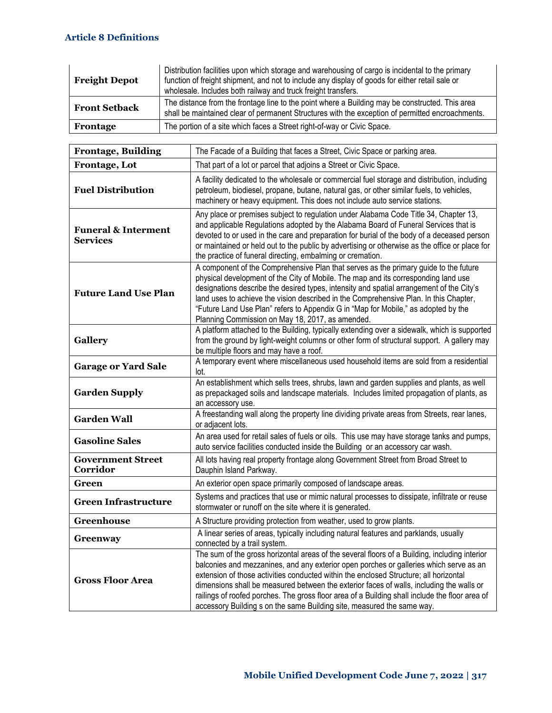| <b>Freight Depot</b> | Distribution facilities upon which storage and warehousing of cargo is incidental to the primary<br>function of freight shipment, and not to include any display of goods for either retail sale or<br>wholesale. Includes both railway and truck freight transfers. |
|----------------------|----------------------------------------------------------------------------------------------------------------------------------------------------------------------------------------------------------------------------------------------------------------------|
| <b>Front Setback</b> | The distance from the frontage line to the point where a Building may be constructed. This area<br>shall be maintained clear of permanent Structures with the exception of permitted encroachments.                                                                  |
| Frontage             | The portion of a site which faces a Street right-of-way or Civic Space.                                                                                                                                                                                              |

| <b>Frontage, Building</b>                         | The Facade of a Building that faces a Street, Civic Space or parking area.                                                                                                                                                                                                                                                                                                                                                                                                                                                                               |
|---------------------------------------------------|----------------------------------------------------------------------------------------------------------------------------------------------------------------------------------------------------------------------------------------------------------------------------------------------------------------------------------------------------------------------------------------------------------------------------------------------------------------------------------------------------------------------------------------------------------|
| Frontage, Lot                                     | That part of a lot or parcel that adjoins a Street or Civic Space.                                                                                                                                                                                                                                                                                                                                                                                                                                                                                       |
| <b>Fuel Distribution</b>                          | A facility dedicated to the wholesale or commercial fuel storage and distribution, including<br>petroleum, biodiesel, propane, butane, natural gas, or other similar fuels, to vehicles,<br>machinery or heavy equipment. This does not include auto service stations.                                                                                                                                                                                                                                                                                   |
| <b>Funeral &amp; Interment</b><br><b>Services</b> | Any place or premises subject to regulation under Alabama Code Title 34, Chapter 13,<br>and applicable Regulations adopted by the Alabama Board of Funeral Services that is<br>devoted to or used in the care and preparation for burial of the body of a deceased person<br>or maintained or held out to the public by advertising or otherwise as the office or place for<br>the practice of funeral directing, embalming or cremation.                                                                                                                |
| <b>Future Land Use Plan</b>                       | A component of the Comprehensive Plan that serves as the primary guide to the future<br>physical development of the City of Mobile. The map and its corresponding land use<br>designations describe the desired types, intensity and spatial arrangement of the City's<br>land uses to achieve the vision described in the Comprehensive Plan. In this Chapter,<br>"Future Land Use Plan" refers to Appendix G in "Map for Mobile," as adopted by the<br>Planning Commission on May 18, 2017, as amended.                                                |
| <b>Gallery</b>                                    | A platform attached to the Building, typically extending over a sidewalk, which is supported<br>from the ground by light-weight columns or other form of structural support. A gallery may<br>be multiple floors and may have a roof.                                                                                                                                                                                                                                                                                                                    |
| <b>Garage or Yard Sale</b>                        | A temporary event where miscellaneous used household items are sold from a residential<br>lot.                                                                                                                                                                                                                                                                                                                                                                                                                                                           |
| <b>Garden Supply</b>                              | An establishment which sells trees, shrubs, lawn and garden supplies and plants, as well<br>as prepackaged soils and landscape materials. Includes limited propagation of plants, as<br>an accessory use.                                                                                                                                                                                                                                                                                                                                                |
| <b>Garden Wall</b>                                | A freestanding wall along the property line dividing private areas from Streets, rear lanes,<br>or adjacent lots.                                                                                                                                                                                                                                                                                                                                                                                                                                        |
| <b>Gasoline Sales</b>                             | An area used for retail sales of fuels or oils. This use may have storage tanks and pumps,<br>auto service facilities conducted inside the Building or an accessory car wash.                                                                                                                                                                                                                                                                                                                                                                            |
| <b>Government Street</b><br>Corridor              | All lots having real property frontage along Government Street from Broad Street to<br>Dauphin Island Parkway.                                                                                                                                                                                                                                                                                                                                                                                                                                           |
| Green                                             | An exterior open space primarily composed of landscape areas.                                                                                                                                                                                                                                                                                                                                                                                                                                                                                            |
| <b>Green Infrastructure</b>                       | Systems and practices that use or mimic natural processes to dissipate, infiltrate or reuse<br>stormwater or runoff on the site where it is generated.                                                                                                                                                                                                                                                                                                                                                                                                   |
| Greenhouse                                        | A Structure providing protection from weather, used to grow plants.                                                                                                                                                                                                                                                                                                                                                                                                                                                                                      |
| Greenway                                          | A linear series of areas, typically including natural features and parklands, usually<br>connected by a trail system.                                                                                                                                                                                                                                                                                                                                                                                                                                    |
| <b>Gross Floor Area</b>                           | The sum of the gross horizontal areas of the several floors of a Building, including interior<br>balconies and mezzanines, and any exterior open porches or galleries which serve as an<br>extension of those activities conducted within the enclosed Structure; all horizontal<br>dimensions shall be measured between the exterior faces of walls, including the walls or<br>railings of roofed porches. The gross floor area of a Building shall include the floor area of<br>accessory Building s on the same Building site, measured the same way. |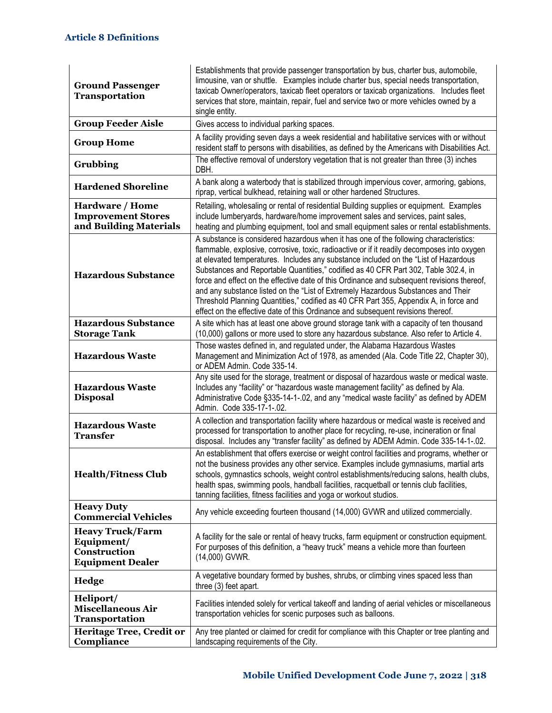| <b>Ground Passenger</b><br>Transportation                                        | Establishments that provide passenger transportation by bus, charter bus, automobile,<br>limousine, van or shuttle. Examples include charter bus, special needs transportation,<br>taxicab Owner/operators, taxicab fleet operators or taxicab organizations. Includes fleet<br>services that store, maintain, repair, fuel and service two or more vehicles owned by a<br>single entity.                                                                                                                                                                                                                                                                                                                                          |
|----------------------------------------------------------------------------------|------------------------------------------------------------------------------------------------------------------------------------------------------------------------------------------------------------------------------------------------------------------------------------------------------------------------------------------------------------------------------------------------------------------------------------------------------------------------------------------------------------------------------------------------------------------------------------------------------------------------------------------------------------------------------------------------------------------------------------|
| <b>Group Feeder Aisle</b>                                                        | Gives access to individual parking spaces.                                                                                                                                                                                                                                                                                                                                                                                                                                                                                                                                                                                                                                                                                         |
| <b>Group Home</b>                                                                | A facility providing seven days a week residential and habilitative services with or without<br>resident staff to persons with disabilities, as defined by the Americans with Disabilities Act.                                                                                                                                                                                                                                                                                                                                                                                                                                                                                                                                    |
| Grubbing                                                                         | The effective removal of understory vegetation that is not greater than three (3) inches<br>DBH.                                                                                                                                                                                                                                                                                                                                                                                                                                                                                                                                                                                                                                   |
| <b>Hardened Shoreline</b>                                                        | A bank along a waterbody that is stabilized through impervious cover, armoring, gabions,<br>riprap, vertical bulkhead, retaining wall or other hardened Structures.                                                                                                                                                                                                                                                                                                                                                                                                                                                                                                                                                                |
| Hardware / Home<br><b>Improvement Stores</b><br>and Building Materials           | Retailing, wholesaling or rental of residential Building supplies or equipment. Examples<br>include lumberyards, hardware/home improvement sales and services, paint sales,<br>heating and plumbing equipment, tool and small equipment sales or rental establishments.                                                                                                                                                                                                                                                                                                                                                                                                                                                            |
| <b>Hazardous Substance</b>                                                       | A substance is considered hazardous when it has one of the following characteristics:<br>flammable, explosive, corrosive, toxic, radioactive or if it readily decomposes into oxygen<br>at elevated temperatures. Includes any substance included on the "List of Hazardous<br>Substances and Reportable Quantities," codified as 40 CFR Part 302, Table 302.4, in<br>force and effect on the effective date of this Ordinance and subsequent revisions thereof,<br>and any substance listed on the "List of Extremely Hazardous Substances and Their<br>Threshold Planning Quantities," codified as 40 CFR Part 355, Appendix A, in force and<br>effect on the effective date of this Ordinance and subsequent revisions thereof. |
| <b>Hazardous Substance</b><br><b>Storage Tank</b>                                | A site which has at least one above ground storage tank with a capacity of ten thousand<br>(10,000) gallons or more used to store any hazardous substance. Also refer to Article 4.                                                                                                                                                                                                                                                                                                                                                                                                                                                                                                                                                |
| <b>Hazardous Waste</b>                                                           | Those wastes defined in, and regulated under, the Alabama Hazardous Wastes<br>Management and Minimization Act of 1978, as amended (Ala. Code Title 22, Chapter 30),<br>or ADEM Admin. Code 335-14.                                                                                                                                                                                                                                                                                                                                                                                                                                                                                                                                 |
| <b>Hazardous Waste</b><br><b>Disposal</b>                                        | Any site used for the storage, treatment or disposal of hazardous waste or medical waste.<br>Includes any "facility" or "hazardous waste management facility" as defined by Ala.<br>Administrative Code §335-14-1-.02, and any "medical waste facility" as defined by ADEM<br>Admin. Code 335-17-1-.02.                                                                                                                                                                                                                                                                                                                                                                                                                            |
| <b>Hazardous Waste</b><br><b>Transfer</b>                                        | A collection and transportation facility where hazardous or medical waste is received and<br>processed for transportation to another place for recycling, re-use, incineration or final<br>disposal. Includes any "transfer facility" as defined by ADEM Admin. Code 335-14-1-.02.                                                                                                                                                                                                                                                                                                                                                                                                                                                 |
| <b>Health/Fitness Club</b>                                                       | An establishment that offers exercise or weight control facilities and programs, whether or<br>not the business provides any other service. Examples include gymnasiums, martial arts<br>schools, gymnastics schools, weight control establishments/reducing salons, health clubs,<br>health spas, swimming pools, handball facilities, racquetball or tennis club facilities,<br>tanning facilities, fitness facilities and yoga or workout studios.                                                                                                                                                                                                                                                                              |
| <b>Heavy Duty</b><br><b>Commercial Vehicles</b>                                  | Any vehicle exceeding fourteen thousand (14,000) GVWR and utilized commercially.                                                                                                                                                                                                                                                                                                                                                                                                                                                                                                                                                                                                                                                   |
| <b>Heavy Truck/Farm</b><br>Equipment/<br>Construction<br><b>Equipment Dealer</b> | A facility for the sale or rental of heavy trucks, farm equipment or construction equipment.<br>For purposes of this definition, a "heavy truck" means a vehicle more than fourteen<br>(14,000) GVWR.                                                                                                                                                                                                                                                                                                                                                                                                                                                                                                                              |
| <b>Hedge</b>                                                                     | A vegetative boundary formed by bushes, shrubs, or climbing vines spaced less than<br>three (3) feet apart.                                                                                                                                                                                                                                                                                                                                                                                                                                                                                                                                                                                                                        |
| Heliport/<br><b>Miscellaneous Air</b><br>Transportation                          | Facilities intended solely for vertical takeoff and landing of aerial vehicles or miscellaneous<br>transportation vehicles for scenic purposes such as balloons.                                                                                                                                                                                                                                                                                                                                                                                                                                                                                                                                                                   |
| Heritage Tree, Credit or<br>Compliance                                           | Any tree planted or claimed for credit for compliance with this Chapter or tree planting and<br>landscaping requirements of the City.                                                                                                                                                                                                                                                                                                                                                                                                                                                                                                                                                                                              |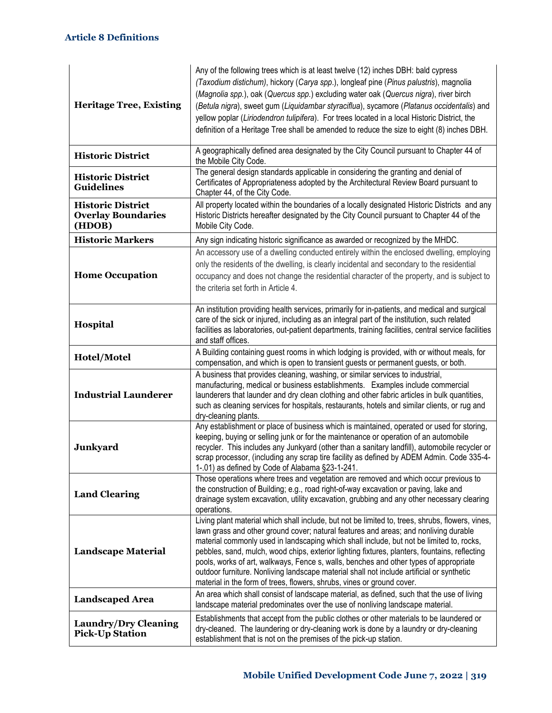| <b>Heritage Tree, Existing</b>                                  | Any of the following trees which is at least twelve (12) inches DBH: bald cypress<br>(Taxodium distichum), hickory (Carya spp.), longleaf pine (Pinus palustris), magnolia<br>(Magnolia spp.), oak (Quercus spp.) excluding water oak (Quercus nigra), river birch<br>(Betula nigra), sweet gum (Liquidambar styraciflua), sycamore (Platanus occidentalis) and<br>yellow poplar (Liriodendron tulipifera). For trees located in a local Historic District, the<br>definition of a Heritage Tree shall be amended to reduce the size to eight (8) inches DBH.                                                                                         |
|-----------------------------------------------------------------|-------------------------------------------------------------------------------------------------------------------------------------------------------------------------------------------------------------------------------------------------------------------------------------------------------------------------------------------------------------------------------------------------------------------------------------------------------------------------------------------------------------------------------------------------------------------------------------------------------------------------------------------------------|
| <b>Historic District</b>                                        | A geographically defined area designated by the City Council pursuant to Chapter 44 of<br>the Mobile City Code.                                                                                                                                                                                                                                                                                                                                                                                                                                                                                                                                       |
| <b>Historic District</b><br><b>Guidelines</b>                   | The general design standards applicable in considering the granting and denial of<br>Certificates of Appropriateness adopted by the Architectural Review Board pursuant to<br>Chapter 44, of the City Code.                                                                                                                                                                                                                                                                                                                                                                                                                                           |
| <b>Historic District</b><br><b>Overlay Boundaries</b><br>(HDOB) | All property located within the boundaries of a locally designated Historic Districts and any<br>Historic Districts hereafter designated by the City Council pursuant to Chapter 44 of the<br>Mobile City Code.                                                                                                                                                                                                                                                                                                                                                                                                                                       |
| <b>Historic Markers</b>                                         | Any sign indicating historic significance as awarded or recognized by the MHDC.                                                                                                                                                                                                                                                                                                                                                                                                                                                                                                                                                                       |
| <b>Home Occupation</b>                                          | An accessory use of a dwelling conducted entirely within the enclosed dwelling, employing<br>only the residents of the dwelling, is clearly incidental and secondary to the residential<br>occupancy and does not change the residential character of the property, and is subject to<br>the criteria set forth in Article 4.                                                                                                                                                                                                                                                                                                                         |
| Hospital                                                        | An institution providing health services, primarily for in-patients, and medical and surgical<br>care of the sick or injured, including as an integral part of the institution, such related<br>facilities as laboratories, out-patient departments, training facilities, central service facilities<br>and staff offices.                                                                                                                                                                                                                                                                                                                            |
| Hotel/Motel                                                     | A Building containing guest rooms in which lodging is provided, with or without meals, for<br>compensation, and which is open to transient guests or permanent guests, or both.                                                                                                                                                                                                                                                                                                                                                                                                                                                                       |
| <b>Industrial Launderer</b>                                     | A business that provides cleaning, washing, or similar services to industrial,<br>manufacturing, medical or business establishments. Examples include commercial<br>launderers that launder and dry clean clothing and other fabric articles in bulk quantities,<br>such as cleaning services for hospitals, restaurants, hotels and similar clients, or rug and<br>dry-cleaning plants.                                                                                                                                                                                                                                                              |
| <b>Junkyard</b>                                                 | Any establishment or place of business which is maintained, operated or used for storing,<br>keeping, buying or selling junk or for the maintenance or operation of an automobile<br>recycler. This includes any Junkyard (other than a sanitary landfill), automobile recycler or<br>scrap processor, (including any scrap tire facility as defined by ADEM Admin. Code 335-4-<br>1-.01) as defined by Code of Alabama §23-1-241.                                                                                                                                                                                                                    |
| <b>Land Clearing</b>                                            | Those operations where trees and vegetation are removed and which occur previous to<br>the construction of Building; e.g., road right-of-way excavation or paving, lake and<br>drainage system excavation, utility excavation, grubbing and any other necessary clearing<br>operations.                                                                                                                                                                                                                                                                                                                                                               |
| <b>Landscape Material</b>                                       | Living plant material which shall include, but not be limited to, trees, shrubs, flowers, vines,<br>lawn grass and other ground cover; natural features and areas; and nonliving durable<br>material commonly used in landscaping which shall include, but not be limited to, rocks,<br>pebbles, sand, mulch, wood chips, exterior lighting fixtures, planters, fountains, reflecting<br>pools, works of art, walkways, Fence s, walls, benches and other types of appropriate<br>outdoor furniture. Nonliving landscape material shall not include artificial or synthetic<br>material in the form of trees, flowers, shrubs, vines or ground cover. |
| <b>Landscaped Area</b>                                          | An area which shall consist of landscape material, as defined, such that the use of living<br>landscape material predominates over the use of nonliving landscape material.                                                                                                                                                                                                                                                                                                                                                                                                                                                                           |
| <b>Laundry/Dry Cleaning</b><br><b>Pick-Up Station</b>           | Establishments that accept from the public clothes or other materials to be laundered or<br>dry-cleaned. The laundering or dry-cleaning work is done by a laundry or dry-cleaning<br>establishment that is not on the premises of the pick-up station.                                                                                                                                                                                                                                                                                                                                                                                                |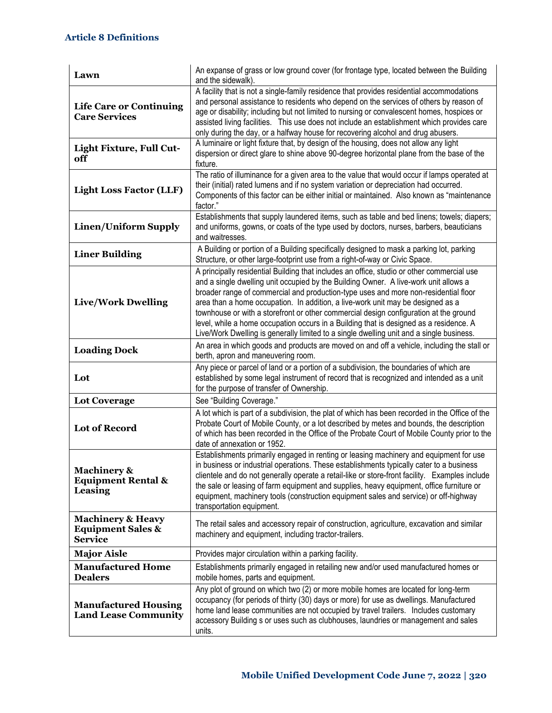| Lawn                                                                           | An expanse of grass or low ground cover (for frontage type, located between the Building<br>and the sidewalk).                                                                                                                                                                                                                                                                                                                                                                                                                                                                                                                              |
|--------------------------------------------------------------------------------|---------------------------------------------------------------------------------------------------------------------------------------------------------------------------------------------------------------------------------------------------------------------------------------------------------------------------------------------------------------------------------------------------------------------------------------------------------------------------------------------------------------------------------------------------------------------------------------------------------------------------------------------|
| <b>Life Care or Continuing</b><br><b>Care Services</b>                         | A facility that is not a single-family residence that provides residential accommodations<br>and personal assistance to residents who depend on the services of others by reason of<br>age or disability; including but not limited to nursing or convalescent homes, hospices or<br>assisted living facilities. This use does not include an establishment which provides care<br>only during the day, or a halfway house for recovering alcohol and drug abusers.                                                                                                                                                                         |
| Light Fixture, Full Cut-<br>off                                                | A luminaire or light fixture that, by design of the housing, does not allow any light<br>dispersion or direct glare to shine above 90-degree horizontal plane from the base of the<br>fixture.                                                                                                                                                                                                                                                                                                                                                                                                                                              |
| <b>Light Loss Factor (LLF)</b>                                                 | The ratio of illuminance for a given area to the value that would occur if lamps operated at<br>their (initial) rated lumens and if no system variation or depreciation had occurred.<br>Components of this factor can be either initial or maintained. Also known as "maintenance<br>factor."                                                                                                                                                                                                                                                                                                                                              |
| <b>Linen/Uniform Supply</b>                                                    | Establishments that supply laundered items, such as table and bed linens; towels; diapers;<br>and uniforms, gowns, or coats of the type used by doctors, nurses, barbers, beauticians<br>and waitresses.                                                                                                                                                                                                                                                                                                                                                                                                                                    |
| <b>Liner Building</b>                                                          | A Building or portion of a Building specifically designed to mask a parking lot, parking<br>Structure, or other large-footprint use from a right-of-way or Civic Space.                                                                                                                                                                                                                                                                                                                                                                                                                                                                     |
| <b>Live/Work Dwelling</b>                                                      | A principally residential Building that includes an office, studio or other commercial use<br>and a single dwelling unit occupied by the Building Owner. A live-work unit allows a<br>broader range of commercial and production-type uses and more non-residential floor<br>area than a home occupation. In addition, a live-work unit may be designed as a<br>townhouse or with a storefront or other commercial design configuration at the ground<br>level, while a home occupation occurs in a Building that is designed as a residence. A<br>Live/Work Dwelling is generally limited to a single dwelling unit and a single business. |
| <b>Loading Dock</b>                                                            | An area in which goods and products are moved on and off a vehicle, including the stall or<br>berth, apron and maneuvering room.                                                                                                                                                                                                                                                                                                                                                                                                                                                                                                            |
| Lot                                                                            | Any piece or parcel of land or a portion of a subdivision, the boundaries of which are<br>established by some legal instrument of record that is recognized and intended as a unit<br>for the purpose of transfer of Ownership.                                                                                                                                                                                                                                                                                                                                                                                                             |
| <b>Lot Coverage</b>                                                            | See "Building Coverage."                                                                                                                                                                                                                                                                                                                                                                                                                                                                                                                                                                                                                    |
| <b>Lot of Record</b>                                                           | A lot which is part of a subdivision, the plat of which has been recorded in the Office of the<br>Probate Court of Mobile County, or a lot described by metes and bounds, the description<br>of which has been recorded in the Office of the Probate Court of Mobile County prior to the<br>date of annexation or 1952.                                                                                                                                                                                                                                                                                                                     |
| <b>Machinery &amp;</b><br><b>Equipment Rental &amp;</b><br>Leasing             | Establishments primarily engaged in renting or leasing machinery and equipment for use<br>in business or industrial operations. These establishments typically cater to a business<br>clientele and do not generally operate a retail-like or store-front facility. Examples include<br>the sale or leasing of farm equipment and supplies, heavy equipment, office furniture or<br>equipment, machinery tools (construction equipment sales and service) or off-highway<br>transportation equipment.                                                                                                                                       |
| <b>Machinery &amp; Heavy</b><br><b>Equipment Sales &amp;</b><br><b>Service</b> | The retail sales and accessory repair of construction, agriculture, excavation and similar<br>machinery and equipment, including tractor-trailers.                                                                                                                                                                                                                                                                                                                                                                                                                                                                                          |
| <b>Major Aisle</b>                                                             | Provides major circulation within a parking facility.                                                                                                                                                                                                                                                                                                                                                                                                                                                                                                                                                                                       |
| <b>Manufactured Home</b><br><b>Dealers</b>                                     | Establishments primarily engaged in retailing new and/or used manufactured homes or<br>mobile homes, parts and equipment.                                                                                                                                                                                                                                                                                                                                                                                                                                                                                                                   |
| <b>Manufactured Housing</b><br><b>Land Lease Community</b>                     | Any plot of ground on which two (2) or more mobile homes are located for long-term<br>occupancy (for periods of thirty (30) days or more) for use as dwellings. Manufactured<br>home land lease communities are not occupied by travel trailers. Includes customary<br>accessory Building s or uses such as clubhouses, laundries or management and sales<br>units.                                                                                                                                                                                                                                                                         |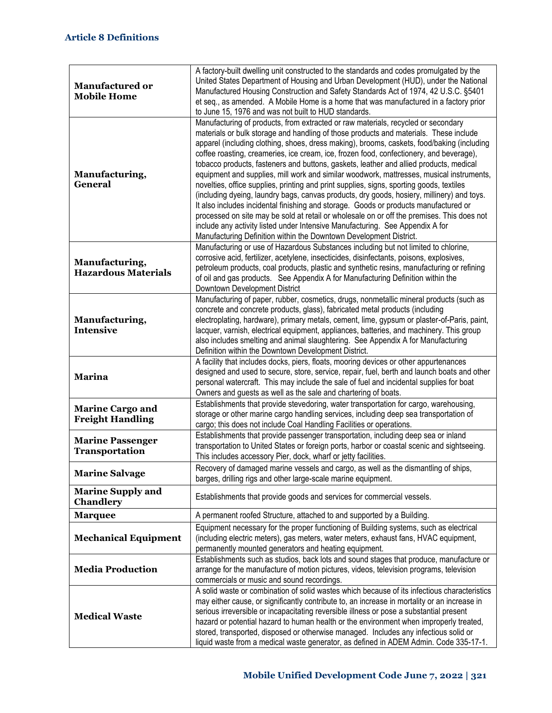| <b>Manufactured or</b><br><b>Mobile Home</b>       | A factory-built dwelling unit constructed to the standards and codes promulgated by the<br>United States Department of Housing and Urban Development (HUD), under the National<br>Manufactured Housing Construction and Safety Standards Act of 1974, 42 U.S.C. §5401<br>et seq., as amended. A Mobile Home is a home that was manufactured in a factory prior<br>to June 15, 1976 and was not built to HUD standards.                                                                                                                                                                                                                                                                                                                                                                                                                                                                                                                                                                                                                                                                           |
|----------------------------------------------------|--------------------------------------------------------------------------------------------------------------------------------------------------------------------------------------------------------------------------------------------------------------------------------------------------------------------------------------------------------------------------------------------------------------------------------------------------------------------------------------------------------------------------------------------------------------------------------------------------------------------------------------------------------------------------------------------------------------------------------------------------------------------------------------------------------------------------------------------------------------------------------------------------------------------------------------------------------------------------------------------------------------------------------------------------------------------------------------------------|
| Manufacturing,<br><b>General</b>                   | Manufacturing of products, from extracted or raw materials, recycled or secondary<br>materials or bulk storage and handling of those products and materials. These include<br>apparel (including clothing, shoes, dress making), brooms, caskets, food/baking (including<br>coffee roasting, creameries, ice cream, ice, frozen food, confectionery, and beverage),<br>tobacco products, fasteners and buttons, gaskets, leather and allied products, medical<br>equipment and supplies, mill work and similar woodwork, mattresses, musical instruments,<br>novelties, office supplies, printing and print supplies, signs, sporting goods, textiles<br>(including dyeing, laundry bags, canvas products, dry goods, hosiery, millinery) and toys.<br>It also includes incidental finishing and storage. Goods or products manufactured or<br>processed on site may be sold at retail or wholesale on or off the premises. This does not<br>include any activity listed under Intensive Manufacturing. See Appendix A for<br>Manufacturing Definition within the Downtown Development District. |
| Manufacturing,<br><b>Hazardous Materials</b>       | Manufacturing or use of Hazardous Substances including but not limited to chlorine,<br>corrosive acid, fertilizer, acetylene, insecticides, disinfectants, poisons, explosives,<br>petroleum products, coal products, plastic and synthetic resins, manufacturing or refining<br>of oil and gas products. See Appendix A for Manufacturing Definition within the<br>Downtown Development District                                                                                                                                                                                                                                                                                                                                                                                                                                                                                                                                                                                                                                                                                                |
| Manufacturing,<br><b>Intensive</b>                 | Manufacturing of paper, rubber, cosmetics, drugs, nonmetallic mineral products (such as<br>concrete and concrete products, glass), fabricated metal products (including<br>electroplating, hardware), primary metals, cement, lime, gypsum or plaster-of-Paris, paint,<br>lacquer, varnish, electrical equipment, appliances, batteries, and machinery. This group<br>also includes smelting and animal slaughtering. See Appendix A for Manufacturing<br>Definition within the Downtown Development District.                                                                                                                                                                                                                                                                                                                                                                                                                                                                                                                                                                                   |
| <b>Marina</b>                                      | A facility that includes docks, piers, floats, mooring devices or other appurtenances<br>designed and used to secure, store, service, repair, fuel, berth and launch boats and other<br>personal watercraft. This may include the sale of fuel and incidental supplies for boat<br>Owners and guests as well as the sale and chartering of boats.                                                                                                                                                                                                                                                                                                                                                                                                                                                                                                                                                                                                                                                                                                                                                |
| <b>Marine Cargo and</b><br><b>Freight Handling</b> | Establishments that provide stevedoring, water transportation for cargo, warehousing,<br>storage or other marine cargo handling services, including deep sea transportation of<br>cargo; this does not include Coal Handling Facilities or operations.                                                                                                                                                                                                                                                                                                                                                                                                                                                                                                                                                                                                                                                                                                                                                                                                                                           |
| <b>Marine Passenger</b><br>Transportation          | Establishments that provide passenger transportation, including deep sea or inland<br>transportation to United States or foreign ports, harbor or coastal scenic and sightseeing.<br>This includes accessory Pier, dock, wharf or jetty facilities.                                                                                                                                                                                                                                                                                                                                                                                                                                                                                                                                                                                                                                                                                                                                                                                                                                              |
| <b>Marine Salvage</b>                              | Recovery of damaged marine vessels and cargo, as well as the dismantling of ships,<br>barges, drilling rigs and other large-scale marine equipment.                                                                                                                                                                                                                                                                                                                                                                                                                                                                                                                                                                                                                                                                                                                                                                                                                                                                                                                                              |
| <b>Marine Supply and</b><br>Chandlery              | Establishments that provide goods and services for commercial vessels.                                                                                                                                                                                                                                                                                                                                                                                                                                                                                                                                                                                                                                                                                                                                                                                                                                                                                                                                                                                                                           |
| <b>Marquee</b>                                     | A permanent roofed Structure, attached to and supported by a Building.                                                                                                                                                                                                                                                                                                                                                                                                                                                                                                                                                                                                                                                                                                                                                                                                                                                                                                                                                                                                                           |
| <b>Mechanical Equipment</b>                        | Equipment necessary for the proper functioning of Building systems, such as electrical<br>(including electric meters), gas meters, water meters, exhaust fans, HVAC equipment,<br>permanently mounted generators and heating equipment.                                                                                                                                                                                                                                                                                                                                                                                                                                                                                                                                                                                                                                                                                                                                                                                                                                                          |
| <b>Media Production</b>                            | Establishments such as studios, back lots and sound stages that produce, manufacture or<br>arrange for the manufacture of motion pictures, videos, television programs, television<br>commercials or music and sound recordings.                                                                                                                                                                                                                                                                                                                                                                                                                                                                                                                                                                                                                                                                                                                                                                                                                                                                 |
| <b>Medical Waste</b>                               | A solid waste or combination of solid wastes which because of its infectious characteristics<br>may either cause, or significantly contribute to, an increase in mortality or an increase in<br>serious irreversible or incapacitating reversible illness or pose a substantial present<br>hazard or potential hazard to human health or the environment when improperly treated,<br>stored, transported, disposed or otherwise managed. Includes any infectious solid or<br>liquid waste from a medical waste generator, as defined in ADEM Admin. Code 335-17-1.                                                                                                                                                                                                                                                                                                                                                                                                                                                                                                                               |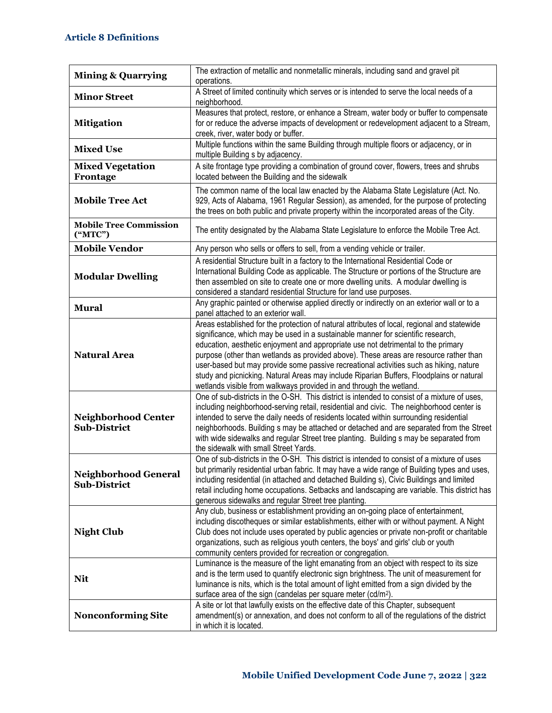| <b>Mining &amp; Quarrying</b>                      | The extraction of metallic and nonmetallic minerals, including sand and gravel pit<br>operations.                                                                                                                                                                                                                                                                                                                                                                                                                                                                                                                          |
|----------------------------------------------------|----------------------------------------------------------------------------------------------------------------------------------------------------------------------------------------------------------------------------------------------------------------------------------------------------------------------------------------------------------------------------------------------------------------------------------------------------------------------------------------------------------------------------------------------------------------------------------------------------------------------------|
| <b>Minor Street</b>                                | A Street of limited continuity which serves or is intended to serve the local needs of a<br>neighborhood.                                                                                                                                                                                                                                                                                                                                                                                                                                                                                                                  |
| <b>Mitigation</b>                                  | Measures that protect, restore, or enhance a Stream, water body or buffer to compensate<br>for or reduce the adverse impacts of development or redevelopment adjacent to a Stream,<br>creek, river, water body or buffer.                                                                                                                                                                                                                                                                                                                                                                                                  |
| <b>Mixed Use</b>                                   | Multiple functions within the same Building through multiple floors or adjacency, or in<br>multiple Building s by adjacency.                                                                                                                                                                                                                                                                                                                                                                                                                                                                                               |
| <b>Mixed Vegetation</b><br>Frontage                | A site frontage type providing a combination of ground cover, flowers, trees and shrubs<br>located between the Building and the sidewalk                                                                                                                                                                                                                                                                                                                                                                                                                                                                                   |
| <b>Mobile Tree Act</b>                             | The common name of the local law enacted by the Alabama State Legislature (Act. No.<br>929, Acts of Alabama, 1961 Regular Session), as amended, for the purpose of protecting<br>the trees on both public and private property within the incorporated areas of the City.                                                                                                                                                                                                                                                                                                                                                  |
| <b>Mobile Tree Commission</b><br>("MTC")           | The entity designated by the Alabama State Legislature to enforce the Mobile Tree Act.                                                                                                                                                                                                                                                                                                                                                                                                                                                                                                                                     |
| <b>Mobile Vendor</b>                               | Any person who sells or offers to sell, from a vending vehicle or trailer.                                                                                                                                                                                                                                                                                                                                                                                                                                                                                                                                                 |
| <b>Modular Dwelling</b>                            | A residential Structure built in a factory to the International Residential Code or<br>International Building Code as applicable. The Structure or portions of the Structure are<br>then assembled on site to create one or more dwelling units. A modular dwelling is<br>considered a standard residential Structure for land use purposes.                                                                                                                                                                                                                                                                               |
| <b>Mural</b>                                       | Any graphic painted or otherwise applied directly or indirectly on an exterior wall or to a<br>panel attached to an exterior wall.                                                                                                                                                                                                                                                                                                                                                                                                                                                                                         |
| <b>Natural Area</b>                                | Areas established for the protection of natural attributes of local, regional and statewide<br>significance, which may be used in a sustainable manner for scientific research,<br>education, aesthetic enjoyment and appropriate use not detrimental to the primary<br>purpose (other than wetlands as provided above). These areas are resource rather than<br>user-based but may provide some passive recreational activities such as hiking, nature<br>study and picnicking. Natural Areas may include Riparian Buffers, Floodplains or natural<br>wetlands visible from walkways provided in and through the wetland. |
| <b>Neighborhood Center</b><br><b>Sub-District</b>  | One of sub-districts in the O-SH. This district is intended to consist of a mixture of uses,<br>including neighborhood-serving retail, residential and civic. The neighborhood center is<br>intended to serve the daily needs of residents located within surrounding residential<br>neighborhoods. Building s may be attached or detached and are separated from the Street<br>with wide sidewalks and regular Street tree planting. Building s may be separated from<br>the sidewalk with small Street Yards.                                                                                                            |
| <b>Neighborhood General</b><br><b>Sub-District</b> | One of sub-districts in the O-SH. This district is intended to consist of a mixture of uses<br>but primarily residential urban fabric. It may have a wide range of Building types and uses,<br>including residential (in attached and detached Building s), Civic Buildings and limited<br>retail including home occupations. Setbacks and landscaping are variable. This district has<br>generous sidewalks and regular Street tree planting.                                                                                                                                                                             |
| <b>Night Club</b>                                  | Any club, business or establishment providing an on-going place of entertainment,<br>including discotheques or similar establishments, either with or without payment. A Night<br>Club does not include uses operated by public agencies or private non-profit or charitable<br>organizations, such as religious youth centers, the boys' and girls' club or youth<br>community centers provided for recreation or congregation.                                                                                                                                                                                           |
| <b>Nit</b>                                         | Luminance is the measure of the light emanating from an object with respect to its size<br>and is the term used to quantify electronic sign brightness. The unit of measurement for<br>luminance is nits, which is the total amount of light emitted from a sign divided by the<br>surface area of the sign (candelas per square meter (cd/m <sup>2</sup> ).                                                                                                                                                                                                                                                               |
| <b>Nonconforming Site</b>                          | A site or lot that lawfully exists on the effective date of this Chapter, subsequent<br>amendment(s) or annexation, and does not conform to all of the regulations of the district<br>in which it is located.                                                                                                                                                                                                                                                                                                                                                                                                              |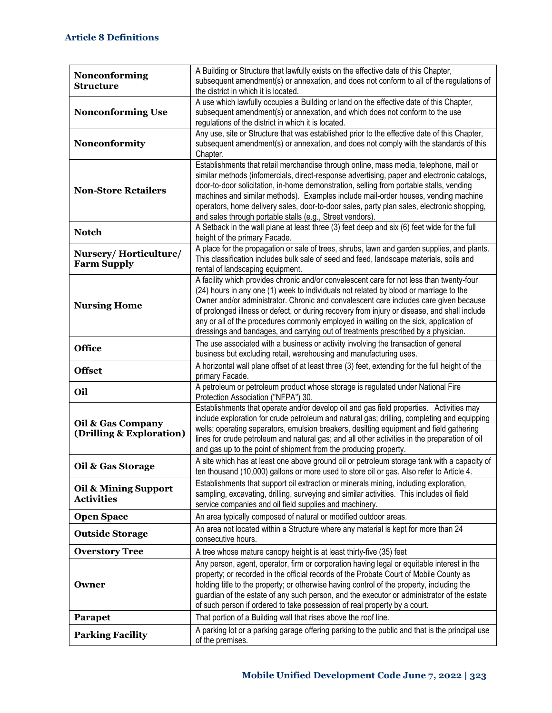|                                               | A Building or Structure that lawfully exists on the effective date of this Chapter,                                                                                                     |
|-----------------------------------------------|-----------------------------------------------------------------------------------------------------------------------------------------------------------------------------------------|
| Nonconforming<br><b>Structure</b>             | subsequent amendment(s) or annexation, and does not conform to all of the regulations of                                                                                                |
|                                               | the district in which it is located.                                                                                                                                                    |
| <b>Nonconforming Use</b>                      | A use which lawfully occupies a Building or land on the effective date of this Chapter,<br>subsequent amendment(s) or annexation, and which does not conform to the use                 |
|                                               | regulations of the district in which it is located.                                                                                                                                     |
|                                               | Any use, site or Structure that was established prior to the effective date of this Chapter,                                                                                            |
| Nonconformity                                 | subsequent amendment(s) or annexation, and does not comply with the standards of this                                                                                                   |
|                                               | Chapter.                                                                                                                                                                                |
|                                               | Establishments that retail merchandise through online, mass media, telephone, mail or                                                                                                   |
|                                               | similar methods (infomercials, direct-response advertising, paper and electronic catalogs,                                                                                              |
| <b>Non-Store Retailers</b>                    | door-to-door solicitation, in-home demonstration, selling from portable stalls, vending<br>machines and similar methods). Examples include mail-order houses, vending machine           |
|                                               | operators, home delivery sales, door-to-door sales, party plan sales, electronic shopping,                                                                                              |
|                                               | and sales through portable stalls (e.g., Street vendors).                                                                                                                               |
|                                               | A Setback in the wall plane at least three (3) feet deep and six (6) feet wide for the full                                                                                             |
| <b>Notch</b>                                  | height of the primary Facade.                                                                                                                                                           |
| Nursery/Horticulture/                         | A place for the propagation or sale of trees, shrubs, lawn and garden supplies, and plants.                                                                                             |
| <b>Farm Supply</b>                            | This classification includes bulk sale of seed and feed, landscape materials, soils and                                                                                                 |
|                                               | rental of landscaping equipment.                                                                                                                                                        |
|                                               | A facility which provides chronic and/or convalescent care for not less than twenty-four                                                                                                |
|                                               | (24) hours in any one (1) week to individuals not related by blood or marriage to the<br>Owner and/or administrator. Chronic and convalescent care includes care given because          |
| <b>Nursing Home</b>                           | of prolonged illness or defect, or during recovery from injury or disease, and shall include                                                                                            |
|                                               | any or all of the procedures commonly employed in waiting on the sick, application of                                                                                                   |
|                                               |                                                                                                                                                                                         |
|                                               |                                                                                                                                                                                         |
|                                               | dressings and bandages, and carrying out of treatments prescribed by a physician.                                                                                                       |
| <b>Office</b>                                 | The use associated with a business or activity involving the transaction of general<br>business but excluding retail, warehousing and manufacturing uses.                               |
|                                               | A horizontal wall plane offset of at least three (3) feet, extending for the full height of the                                                                                         |
| <b>Offset</b>                                 | primary Facade.                                                                                                                                                                         |
| Oil                                           | A petroleum or petroleum product whose storage is regulated under National Fire<br>Protection Association ("NFPA") 30.                                                                  |
|                                               | Establishments that operate and/or develop oil and gas field properties. Activities may                                                                                                 |
|                                               | include exploration for crude petroleum and natural gas; drilling, completing and equipping                                                                                             |
| Oil & Gas Company<br>(Drilling & Exploration) | wells; operating separators, emulsion breakers, desilting equipment and field gathering                                                                                                 |
|                                               | lines for crude petroleum and natural gas; and all other activities in the preparation of oil                                                                                           |
|                                               | and gas up to the point of shipment from the producing property.                                                                                                                        |
| Oil & Gas Storage                             | A site which has at least one above ground oil or petroleum storage tank with a capacity of<br>ten thousand (10,000) gallons or more used to store oil or gas. Also refer to Article 4. |
|                                               | Establishments that support oil extraction or minerals mining, including exploration,                                                                                                   |
| Oil & Mining Support<br><b>Activities</b>     | sampling, excavating, drilling, surveying and similar activities. This includes oil field                                                                                               |
|                                               | service companies and oil field supplies and machinery.                                                                                                                                 |
| <b>Open Space</b>                             | An area typically composed of natural or modified outdoor areas.                                                                                                                        |
| <b>Outside Storage</b>                        | An area not located within a Structure where any material is kept for more than 24<br>consecutive hours.                                                                                |
| <b>Overstory Tree</b>                         | A tree whose mature canopy height is at least thirty-five (35) feet                                                                                                                     |
|                                               | Any person, agent, operator, firm or corporation having legal or equitable interest in the                                                                                              |
|                                               | property; or recorded in the official records of the Probate Court of Mobile County as                                                                                                  |
| Owner                                         | holding title to the property; or otherwise having control of the property, including the                                                                                               |
|                                               | guardian of the estate of any such person, and the executor or administrator of the estate                                                                                              |
|                                               | of such person if ordered to take possession of real property by a court.                                                                                                               |
| Parapet<br><b>Parking Facility</b>            | That portion of a Building wall that rises above the roof line.<br>A parking lot or a parking garage offering parking to the public and that is the principal use                       |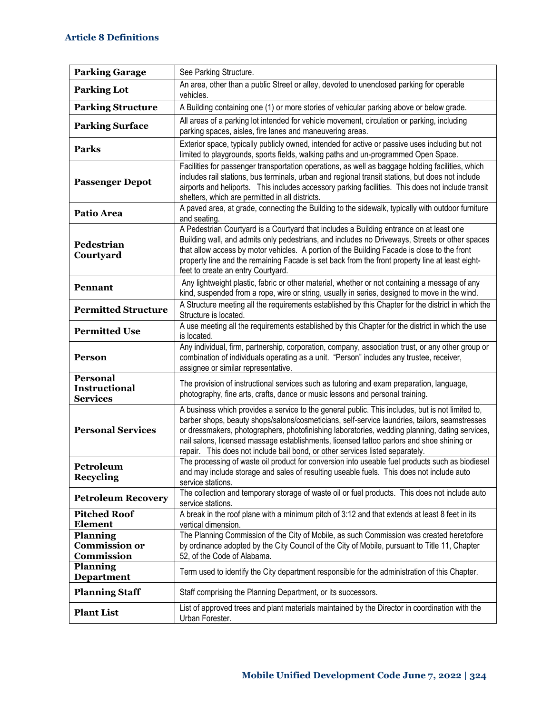| <b>Parking Garage</b>                          | See Parking Structure.                                                                                                                                                                                                                                                                                                                                                                                                                                                            |
|------------------------------------------------|-----------------------------------------------------------------------------------------------------------------------------------------------------------------------------------------------------------------------------------------------------------------------------------------------------------------------------------------------------------------------------------------------------------------------------------------------------------------------------------|
| <b>Parking Lot</b>                             | An area, other than a public Street or alley, devoted to unenclosed parking for operable<br>vehicles.                                                                                                                                                                                                                                                                                                                                                                             |
| <b>Parking Structure</b>                       | A Building containing one (1) or more stories of vehicular parking above or below grade.                                                                                                                                                                                                                                                                                                                                                                                          |
| <b>Parking Surface</b>                         | All areas of a parking lot intended for vehicle movement, circulation or parking, including<br>parking spaces, aisles, fire lanes and maneuvering areas.                                                                                                                                                                                                                                                                                                                          |
| <b>Parks</b>                                   | Exterior space, typically publicly owned, intended for active or passive uses including but not<br>limited to playgrounds, sports fields, walking paths and un-programmed Open Space.                                                                                                                                                                                                                                                                                             |
| <b>Passenger Depot</b>                         | Facilities for passenger transportation operations, as well as baggage holding facilities, which<br>includes rail stations, bus terminals, urban and regional transit stations, but does not include<br>airports and heliports. This includes accessory parking facilities. This does not include transit<br>shelters, which are permitted in all districts.                                                                                                                      |
| Patio Area                                     | A paved area, at grade, connecting the Building to the sidewalk, typically with outdoor furniture<br>and seating.                                                                                                                                                                                                                                                                                                                                                                 |
| Pedestrian<br>Courtyard                        | A Pedestrian Courtyard is a Courtyard that includes a Building entrance on at least one<br>Building wall, and admits only pedestrians, and includes no Driveways, Streets or other spaces<br>that allow access by motor vehicles. A portion of the Building Facade is close to the front<br>property line and the remaining Facade is set back from the front property line at least eight-<br>feet to create an entry Courtyard.                                                 |
| Pennant                                        | Any lightweight plastic, fabric or other material, whether or not containing a message of any<br>kind, suspended from a rope, wire or string, usually in series, designed to move in the wind.                                                                                                                                                                                                                                                                                    |
| <b>Permitted Structure</b>                     | A Structure meeting all the requirements established by this Chapter for the district in which the<br>Structure is located.                                                                                                                                                                                                                                                                                                                                                       |
| <b>Permitted Use</b>                           | A use meeting all the requirements established by this Chapter for the district in which the use<br>is located.                                                                                                                                                                                                                                                                                                                                                                   |
| <b>Person</b>                                  | Any individual, firm, partnership, corporation, company, association trust, or any other group or<br>combination of individuals operating as a unit. "Person" includes any trustee, receiver,<br>assignee or similar representative.                                                                                                                                                                                                                                              |
| Personal<br>Instructional<br><b>Services</b>   | The provision of instructional services such as tutoring and exam preparation, language,<br>photography, fine arts, crafts, dance or music lessons and personal training.                                                                                                                                                                                                                                                                                                         |
| <b>Personal Services</b>                       | A business which provides a service to the general public. This includes, but is not limited to,<br>barber shops, beauty shops/salons/cosmeticians, self-service laundries, tailors, seamstresses<br>or dressmakers, photographers, photofinishing laboratories, wedding planning, dating services,<br>nail salons, licensed massage establishments, licensed tattoo parlors and shoe shining or<br>repair. This does not include bail bond, or other services listed separately. |
| Petroleum<br><b>Recycling</b>                  | The processing of waste oil product for conversion into useable fuel products such as biodiesel<br>and may include storage and sales of resulting useable fuels. This does not include auto<br>service stations.                                                                                                                                                                                                                                                                  |
| <b>Petroleum Recovery</b>                      | The collection and temporary storage of waste oil or fuel products. This does not include auto<br>service stations.                                                                                                                                                                                                                                                                                                                                                               |
| <b>Pitched Roof</b><br><b>Element</b>          | A break in the roof plane with a minimum pitch of 3:12 and that extends at least 8 feet in its<br>vertical dimension.                                                                                                                                                                                                                                                                                                                                                             |
| Planning<br><b>Commission or</b><br>Commission | The Planning Commission of the City of Mobile, as such Commission was created heretofore<br>by ordinance adopted by the City Council of the City of Mobile, pursuant to Title 11, Chapter<br>52, of the Code of Alabama.                                                                                                                                                                                                                                                          |
| <b>Planning</b><br><b>Department</b>           | Term used to identify the City department responsible for the administration of this Chapter.                                                                                                                                                                                                                                                                                                                                                                                     |
| <b>Planning Staff</b>                          | Staff comprising the Planning Department, or its successors.                                                                                                                                                                                                                                                                                                                                                                                                                      |
| <b>Plant List</b>                              | List of approved trees and plant materials maintained by the Director in coordination with the<br>Urban Forester.                                                                                                                                                                                                                                                                                                                                                                 |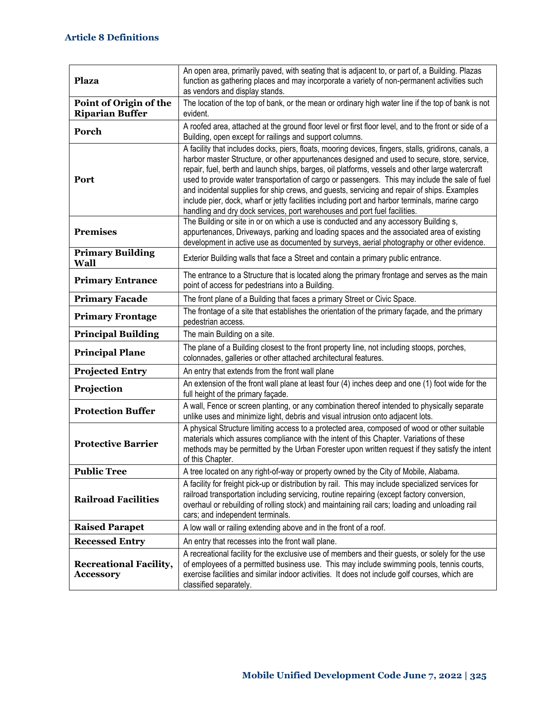| <b>Plaza</b>                                      | An open area, primarily paved, with seating that is adjacent to, or part of, a Building. Plazas<br>function as gathering places and may incorporate a variety of non-permanent activities such<br>as vendors and display stands.                                                                                                                                                                                                                                                                                                                                                                                                                                                          |
|---------------------------------------------------|-------------------------------------------------------------------------------------------------------------------------------------------------------------------------------------------------------------------------------------------------------------------------------------------------------------------------------------------------------------------------------------------------------------------------------------------------------------------------------------------------------------------------------------------------------------------------------------------------------------------------------------------------------------------------------------------|
| Point of Origin of the<br><b>Riparian Buffer</b>  | The location of the top of bank, or the mean or ordinary high water line if the top of bank is not<br>evident.                                                                                                                                                                                                                                                                                                                                                                                                                                                                                                                                                                            |
| Porch                                             | A roofed area, attached at the ground floor level or first floor level, and to the front or side of a<br>Building, open except for railings and support columns.                                                                                                                                                                                                                                                                                                                                                                                                                                                                                                                          |
| Port                                              | A facility that includes docks, piers, floats, mooring devices, fingers, stalls, gridirons, canals, a<br>harbor master Structure, or other appurtenances designed and used to secure, store, service,<br>repair, fuel, berth and launch ships, barges, oil platforms, vessels and other large watercraft<br>used to provide water transportation of cargo or passengers. This may include the sale of fuel<br>and incidental supplies for ship crews, and guests, servicing and repair of ships. Examples<br>include pier, dock, wharf or jetty facilities including port and harbor terminals, marine cargo<br>handling and dry dock services, port warehouses and port fuel facilities. |
| <b>Premises</b>                                   | The Building or site in or on which a use is conducted and any accessory Building s,<br>appurtenances, Driveways, parking and loading spaces and the associated area of existing<br>development in active use as documented by surveys, aerial photography or other evidence.                                                                                                                                                                                                                                                                                                                                                                                                             |
| <b>Primary Building</b><br>Wall                   | Exterior Building walls that face a Street and contain a primary public entrance.                                                                                                                                                                                                                                                                                                                                                                                                                                                                                                                                                                                                         |
| <b>Primary Entrance</b>                           | The entrance to a Structure that is located along the primary frontage and serves as the main<br>point of access for pedestrians into a Building.                                                                                                                                                                                                                                                                                                                                                                                                                                                                                                                                         |
| <b>Primary Facade</b>                             | The front plane of a Building that faces a primary Street or Civic Space.                                                                                                                                                                                                                                                                                                                                                                                                                                                                                                                                                                                                                 |
| <b>Primary Frontage</b>                           | The frontage of a site that establishes the orientation of the primary façade, and the primary<br>pedestrian access.                                                                                                                                                                                                                                                                                                                                                                                                                                                                                                                                                                      |
| <b>Principal Building</b>                         | The main Building on a site.                                                                                                                                                                                                                                                                                                                                                                                                                                                                                                                                                                                                                                                              |
| <b>Principal Plane</b>                            | The plane of a Building closest to the front property line, not including stoops, porches,<br>colonnades, galleries or other attached architectural features.                                                                                                                                                                                                                                                                                                                                                                                                                                                                                                                             |
| <b>Projected Entry</b>                            | An entry that extends from the front wall plane                                                                                                                                                                                                                                                                                                                                                                                                                                                                                                                                                                                                                                           |
| Projection                                        | An extension of the front wall plane at least four (4) inches deep and one (1) foot wide for the<br>full height of the primary façade.                                                                                                                                                                                                                                                                                                                                                                                                                                                                                                                                                    |
| <b>Protection Buffer</b>                          | A wall, Fence or screen planting, or any combination thereof intended to physically separate<br>unlike uses and minimize light, debris and visual intrusion onto adjacent lots.                                                                                                                                                                                                                                                                                                                                                                                                                                                                                                           |
| <b>Protective Barrier</b>                         | A physical Structure limiting access to a protected area, composed of wood or other suitable<br>materials which assures compliance with the intent of this Chapter. Variations of these<br>methods may be permitted by the Urban Forester upon written request if they satisfy the intent<br>of this Chapter.                                                                                                                                                                                                                                                                                                                                                                             |
| <b>Public Tree</b>                                | A tree located on any right-of-way or property owned by the City of Mobile, Alabama.                                                                                                                                                                                                                                                                                                                                                                                                                                                                                                                                                                                                      |
| <b>Railroad Facilities</b>                        | A facility for freight pick-up or distribution by rail. This may include specialized services for<br>railroad transportation including servicing, routine repairing (except factory conversion,<br>overhaul or rebuilding of rolling stock) and maintaining rail cars; loading and unloading rail<br>cars; and independent terminals.                                                                                                                                                                                                                                                                                                                                                     |
| <b>Raised Parapet</b>                             | A low wall or railing extending above and in the front of a roof.                                                                                                                                                                                                                                                                                                                                                                                                                                                                                                                                                                                                                         |
| <b>Recessed Entry</b>                             | An entry that recesses into the front wall plane.                                                                                                                                                                                                                                                                                                                                                                                                                                                                                                                                                                                                                                         |
| <b>Recreational Facility,</b><br><b>Accessory</b> | A recreational facility for the exclusive use of members and their guests, or solely for the use<br>of employees of a permitted business use. This may include swimming pools, tennis courts,<br>exercise facilities and similar indoor activities. It does not include golf courses, which are<br>classified separately.                                                                                                                                                                                                                                                                                                                                                                 |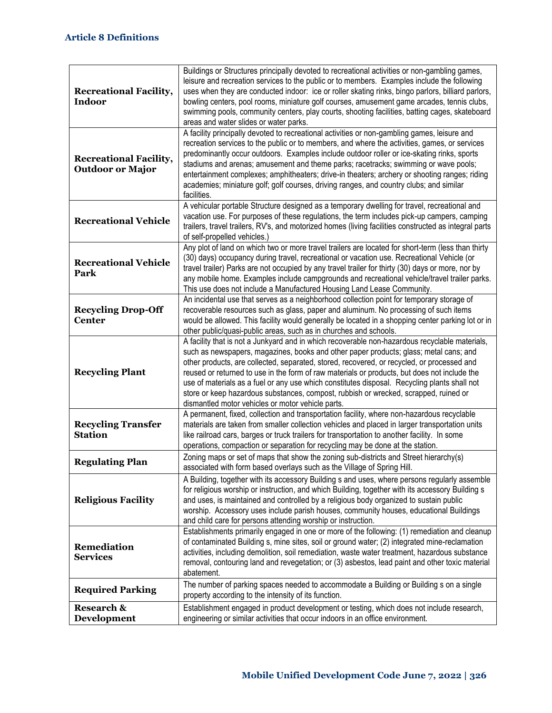| <b>Recreational Facility,</b><br><b>Indoor</b>           | Buildings or Structures principally devoted to recreational activities or non-gambling games,<br>leisure and recreation services to the public or to members. Examples include the following<br>uses when they are conducted indoor: ice or roller skating rinks, bingo parlors, billiard parlors,<br>bowling centers, pool rooms, miniature golf courses, amusement game arcades, tennis clubs,<br>swimming pools, community centers, play courts, shooting facilities, batting cages, skateboard<br>areas and water slides or water parks.                                                                                       |
|----------------------------------------------------------|------------------------------------------------------------------------------------------------------------------------------------------------------------------------------------------------------------------------------------------------------------------------------------------------------------------------------------------------------------------------------------------------------------------------------------------------------------------------------------------------------------------------------------------------------------------------------------------------------------------------------------|
| <b>Recreational Facility,</b><br><b>Outdoor or Major</b> | A facility principally devoted to recreational activities or non-gambling games, leisure and<br>recreation services to the public or to members, and where the activities, games, or services<br>predominantly occur outdoors. Examples include outdoor roller or ice-skating rinks, sports<br>stadiums and arenas; amusement and theme parks; racetracks; swimming or wave pools;<br>entertainment complexes; amphitheaters; drive-in theaters; archery or shooting ranges; riding<br>academies; miniature golf; golf courses, driving ranges, and country clubs; and similar<br>facilities.                                      |
| <b>Recreational Vehicle</b>                              | A vehicular portable Structure designed as a temporary dwelling for travel, recreational and<br>vacation use. For purposes of these regulations, the term includes pick-up campers, camping<br>trailers, travel trailers, RV's, and motorized homes (living facilities constructed as integral parts<br>of self-propelled vehicles.)                                                                                                                                                                                                                                                                                               |
| <b>Recreational Vehicle</b><br>Park                      | Any plot of land on which two or more travel trailers are located for short-term (less than thirty<br>(30) days) occupancy during travel, recreational or vacation use. Recreational Vehicle (or<br>travel trailer) Parks are not occupied by any travel trailer for thirty (30) days or more, nor by<br>any mobile home. Examples include campgrounds and recreational vehicle/travel trailer parks.<br>This use does not include a Manufactured Housing Land Lease Community.                                                                                                                                                    |
| <b>Recycling Drop-Off</b><br><b>Center</b>               | An incidental use that serves as a neighborhood collection point for temporary storage of<br>recoverable resources such as glass, paper and aluminum. No processing of such items<br>would be allowed. This facility would generally be located in a shopping center parking lot or in<br>other public/quasi-public areas, such as in churches and schools.                                                                                                                                                                                                                                                                        |
| <b>Recycling Plant</b>                                   | A facility that is not a Junkyard and in which recoverable non-hazardous recyclable materials,<br>such as newspapers, magazines, books and other paper products; glass; metal cans; and<br>other products, are collected, separated, stored, recovered, or recycled, or processed and<br>reused or returned to use in the form of raw materials or products, but does not include the<br>use of materials as a fuel or any use which constitutes disposal. Recycling plants shall not<br>store or keep hazardous substances, compost, rubbish or wrecked, scrapped, ruined or<br>dismantled motor vehicles or motor vehicle parts. |
| <b>Recycling Transfer</b><br><b>Station</b>              | A permanent, fixed, collection and transportation facility, where non-hazardous recyclable<br>materials are taken from smaller collection vehicles and placed in larger transportation units<br>like railroad cars, barges or truck trailers for transportation to another facility. In some<br>operations, compaction or separation for recycling may be done at the station.                                                                                                                                                                                                                                                     |
| <b>Regulating Plan</b>                                   | Zoning maps or set of maps that show the zoning sub-districts and Street hierarchy(s)<br>associated with form based overlays such as the Village of Spring Hill.                                                                                                                                                                                                                                                                                                                                                                                                                                                                   |
| <b>Religious Facility</b>                                | A Building, together with its accessory Building s and uses, where persons regularly assemble<br>for religious worship or instruction, and which Building, together with its accessory Building s<br>and uses, is maintained and controlled by a religious body organized to sustain public<br>worship. Accessory uses include parish houses, community houses, educational Buildings<br>and child care for persons attending worship or instruction.                                                                                                                                                                              |
| <b>Remediation</b><br><b>Services</b>                    | Establishments primarily engaged in one or more of the following: (1) remediation and cleanup<br>of contaminated Building s, mine sites, soil or ground water; (2) integrated mine-reclamation<br>activities, including demolition, soil remediation, waste water treatment, hazardous substance<br>removal, contouring land and revegetation; or (3) asbestos, lead paint and other toxic material<br>abatement.                                                                                                                                                                                                                  |
| <b>Required Parking</b>                                  | The number of parking spaces needed to accommodate a Building or Building s on a single<br>property according to the intensity of its function.                                                                                                                                                                                                                                                                                                                                                                                                                                                                                    |
| <b>Research &amp;</b><br><b>Development</b>              | Establishment engaged in product development or testing, which does not include research,<br>engineering or similar activities that occur indoors in an office environment.                                                                                                                                                                                                                                                                                                                                                                                                                                                        |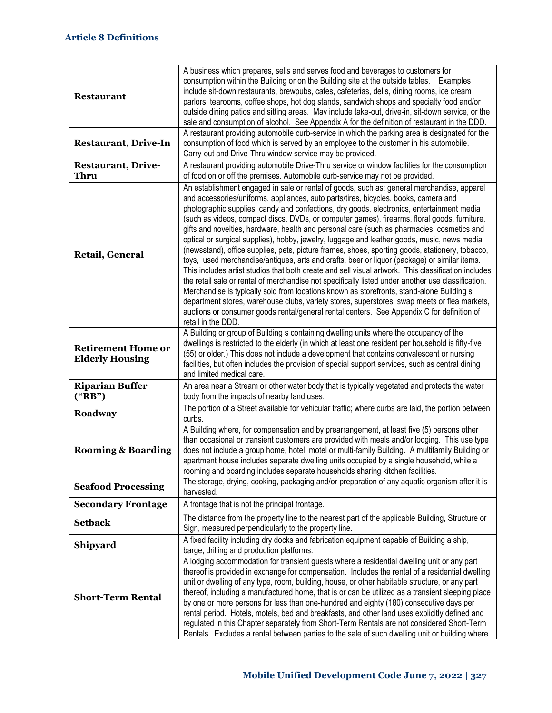| <b>Restaurant</b>                                   | A business which prepares, sells and serves food and beverages to customers for<br>consumption within the Building or on the Building site at the outside tables. Examples<br>include sit-down restaurants, brewpubs, cafes, cafeterias, delis, dining rooms, ice cream<br>parlors, tearooms, coffee shops, hot dog stands, sandwich shops and specialty food and/or<br>outside dining patios and sitting areas. May include take-out, drive-in, sit-down service, or the<br>sale and consumption of alcohol. See Appendix A for the definition of restaurant in the DDD.<br>A restaurant providing automobile curb-service in which the parking area is designated for the                                                                                                                                                                                                                                                                                                                                                                                                                                                                                                                                                                                                                                   |
|-----------------------------------------------------|---------------------------------------------------------------------------------------------------------------------------------------------------------------------------------------------------------------------------------------------------------------------------------------------------------------------------------------------------------------------------------------------------------------------------------------------------------------------------------------------------------------------------------------------------------------------------------------------------------------------------------------------------------------------------------------------------------------------------------------------------------------------------------------------------------------------------------------------------------------------------------------------------------------------------------------------------------------------------------------------------------------------------------------------------------------------------------------------------------------------------------------------------------------------------------------------------------------------------------------------------------------------------------------------------------------|
| <b>Restaurant, Drive-In</b>                         | consumption of food which is served by an employee to the customer in his automobile.<br>Carry-out and Drive-Thru window service may be provided.                                                                                                                                                                                                                                                                                                                                                                                                                                                                                                                                                                                                                                                                                                                                                                                                                                                                                                                                                                                                                                                                                                                                                             |
| <b>Restaurant, Drive-</b><br><b>Thru</b>            | A restaurant providing automobile Drive-Thru service or window facilities for the consumption<br>of food on or off the premises. Automobile curb-service may not be provided.                                                                                                                                                                                                                                                                                                                                                                                                                                                                                                                                                                                                                                                                                                                                                                                                                                                                                                                                                                                                                                                                                                                                 |
| Retail, General                                     | An establishment engaged in sale or rental of goods, such as: general merchandise, apparel<br>and accessories/uniforms, appliances, auto parts/tires, bicycles, books, camera and<br>photographic supplies, candy and confections, dry goods, electronics, entertainment media<br>(such as videos, compact discs, DVDs, or computer games), firearms, floral goods, furniture,<br>gifts and novelties, hardware, health and personal care (such as pharmacies, cosmetics and<br>optical or surgical supplies), hobby, jewelry, luggage and leather goods, music, news media<br>(newsstand), office supplies, pets, picture frames, shoes, sporting goods, stationery, tobacco,<br>toys, used merchandise/antiques, arts and crafts, beer or liquor (package) or similar items.<br>This includes artist studios that both create and sell visual artwork. This classification includes<br>the retail sale or rental of merchandise not specifically listed under another use classification.<br>Merchandise is typically sold from locations known as storefronts, stand-alone Building s,<br>department stores, warehouse clubs, variety stores, superstores, swap meets or flea markets,<br>auctions or consumer goods rental/general rental centers. See Appendix C for definition of<br>retail in the DDD. |
| <b>Retirement Home or</b><br><b>Elderly Housing</b> | A Building or group of Building s containing dwelling units where the occupancy of the<br>dwellings is restricted to the elderly (in which at least one resident per household is fifty-five<br>(55) or older.) This does not include a development that contains convalescent or nursing<br>facilities, but often includes the provision of special support services, such as central dining<br>and limited medical care.                                                                                                                                                                                                                                                                                                                                                                                                                                                                                                                                                                                                                                                                                                                                                                                                                                                                                    |
| <b>Riparian Buffer</b><br>("RB")                    | An area near a Stream or other water body that is typically vegetated and protects the water<br>body from the impacts of nearby land uses.                                                                                                                                                                                                                                                                                                                                                                                                                                                                                                                                                                                                                                                                                                                                                                                                                                                                                                                                                                                                                                                                                                                                                                    |
| Roadway                                             | The portion of a Street available for vehicular traffic; where curbs are laid, the portion between<br>curbs.                                                                                                                                                                                                                                                                                                                                                                                                                                                                                                                                                                                                                                                                                                                                                                                                                                                                                                                                                                                                                                                                                                                                                                                                  |
| <b>Rooming &amp; Boarding</b>                       | A Building where, for compensation and by prearrangement, at least five (5) persons other<br>than occasional or transient customers are provided with meals and/or lodging. This use type<br>does not include a group home, hotel, motel or multi-family Building. A multifamily Building or<br>apartment house includes separate dwelling units occupied by a single household, while a<br>rooming and boarding includes separate households sharing kitchen facilities.                                                                                                                                                                                                                                                                                                                                                                                                                                                                                                                                                                                                                                                                                                                                                                                                                                     |
| <b>Seafood Processing</b>                           | The storage, drying, cooking, packaging and/or preparation of any aquatic organism after it is<br>harvested.                                                                                                                                                                                                                                                                                                                                                                                                                                                                                                                                                                                                                                                                                                                                                                                                                                                                                                                                                                                                                                                                                                                                                                                                  |
| <b>Secondary Frontage</b>                           | A frontage that is not the principal frontage.                                                                                                                                                                                                                                                                                                                                                                                                                                                                                                                                                                                                                                                                                                                                                                                                                                                                                                                                                                                                                                                                                                                                                                                                                                                                |
| <b>Setback</b>                                      | The distance from the property line to the nearest part of the applicable Building, Structure or<br>Sign, measured perpendicularly to the property line.                                                                                                                                                                                                                                                                                                                                                                                                                                                                                                                                                                                                                                                                                                                                                                                                                                                                                                                                                                                                                                                                                                                                                      |
| Shipyard                                            | A fixed facility including dry docks and fabrication equipment capable of Building a ship,<br>barge, drilling and production platforms.                                                                                                                                                                                                                                                                                                                                                                                                                                                                                                                                                                                                                                                                                                                                                                                                                                                                                                                                                                                                                                                                                                                                                                       |
| <b>Short-Term Rental</b>                            | A lodging accommodation for transient guests where a residential dwelling unit or any part<br>thereof is provided in exchange for compensation. Includes the rental of a residential dwelling<br>unit or dwelling of any type, room, building, house, or other habitable structure, or any part<br>thereof, including a manufactured home, that is or can be utilized as a transient sleeping place<br>by one or more persons for less than one-hundred and eighty (180) consecutive days per<br>rental period. Hotels, motels, bed and breakfasts, and other land uses explicitly defined and<br>regulated in this Chapter separately from Short-Term Rentals are not considered Short-Term<br>Rentals. Excludes a rental between parties to the sale of such dwelling unit or building where                                                                                                                                                                                                                                                                                                                                                                                                                                                                                                                |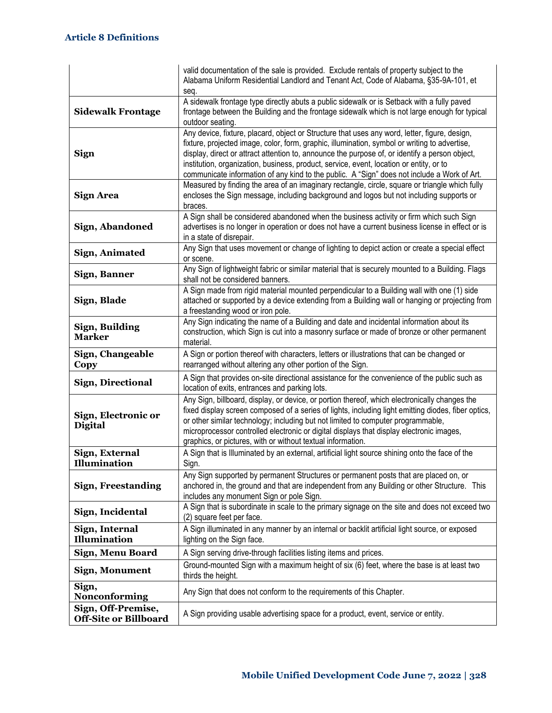|                                                    | valid documentation of the sale is provided. Exclude rentals of property subject to the<br>Alabama Uniform Residential Landlord and Tenant Act, Code of Alabama, §35-9A-101, et<br>seq.                                                                                                                                                                                                                                                                                                    |
|----------------------------------------------------|--------------------------------------------------------------------------------------------------------------------------------------------------------------------------------------------------------------------------------------------------------------------------------------------------------------------------------------------------------------------------------------------------------------------------------------------------------------------------------------------|
| <b>Sidewalk Frontage</b>                           | A sidewalk frontage type directly abuts a public sidewalk or is Setback with a fully paved<br>frontage between the Building and the frontage sidewalk which is not large enough for typical<br>outdoor seating.                                                                                                                                                                                                                                                                            |
| <b>Sign</b>                                        | Any device, fixture, placard, object or Structure that uses any word, letter, figure, design,<br>fixture, projected image, color, form, graphic, illumination, symbol or writing to advertise,<br>display, direct or attract attention to, announce the purpose of, or identify a person object,<br>institution, organization, business, product, service, event, location or entity, or to<br>communicate information of any kind to the public. A "Sign" does not include a Work of Art. |
| <b>Sign Area</b>                                   | Measured by finding the area of an imaginary rectangle, circle, square or triangle which fully<br>encloses the Sign message, including background and logos but not including supports or<br>braces.                                                                                                                                                                                                                                                                                       |
| Sign, Abandoned                                    | A Sign shall be considered abandoned when the business activity or firm which such Sign<br>advertises is no longer in operation or does not have a current business license in effect or is<br>in a state of disrepair.                                                                                                                                                                                                                                                                    |
| Sign, Animated                                     | Any Sign that uses movement or change of lighting to depict action or create a special effect<br>or scene.                                                                                                                                                                                                                                                                                                                                                                                 |
| <b>Sign, Banner</b>                                | Any Sign of lightweight fabric or similar material that is securely mounted to a Building. Flags<br>shall not be considered banners.                                                                                                                                                                                                                                                                                                                                                       |
| Sign, Blade                                        | A Sign made from rigid material mounted perpendicular to a Building wall with one (1) side<br>attached or supported by a device extending from a Building wall or hanging or projecting from<br>a freestanding wood or iron pole.                                                                                                                                                                                                                                                          |
| Sign, Building<br><b>Marker</b>                    | Any Sign indicating the name of a Building and date and incidental information about its<br>construction, which Sign is cut into a masonry surface or made of bronze or other permanent<br>material.                                                                                                                                                                                                                                                                                       |
| Sign, Changeable<br>Copy                           | A Sign or portion thereof with characters, letters or illustrations that can be changed or<br>rearranged without altering any other portion of the Sign.                                                                                                                                                                                                                                                                                                                                   |
| <b>Sign, Directional</b>                           | A Sign that provides on-site directional assistance for the convenience of the public such as<br>location of exits, entrances and parking lots.                                                                                                                                                                                                                                                                                                                                            |
| Sign, Electronic or<br><b>Digital</b>              | Any Sign, billboard, display, or device, or portion thereof, which electronically changes the<br>fixed display screen composed of a series of lights, including light emitting diodes, fiber optics,<br>or other similar technology; including but not limited to computer programmable,<br>microprocessor controlled electronic or digital displays that display electronic images,<br>graphics, or pictures, with or without textual information.                                        |
| Sign, External<br><b>Illumination</b>              | A Sign that is Illuminated by an external, artificial light source shining onto the face of the<br>Sign.                                                                                                                                                                                                                                                                                                                                                                                   |
| <b>Sign, Freestanding</b>                          | Any Sign supported by permanent Structures or permanent posts that are placed on, or<br>anchored in, the ground and that are independent from any Building or other Structure. This<br>includes any monument Sign or pole Sign.                                                                                                                                                                                                                                                            |
| Sign, Incidental                                   | A Sign that is subordinate in scale to the primary signage on the site and does not exceed two<br>(2) square feet per face.                                                                                                                                                                                                                                                                                                                                                                |
| Sign, Internal<br>Illumination                     | A Sign illuminated in any manner by an internal or backlit artificial light source, or exposed<br>lighting on the Sign face.                                                                                                                                                                                                                                                                                                                                                               |
| Sign, Menu Board                                   | A Sign serving drive-through facilities listing items and prices.                                                                                                                                                                                                                                                                                                                                                                                                                          |
| <b>Sign, Monument</b>                              | Ground-mounted Sign with a maximum height of six (6) feet, where the base is at least two<br>thirds the height.                                                                                                                                                                                                                                                                                                                                                                            |
| Sign,<br>Nonconforming                             | Any Sign that does not conform to the requirements of this Chapter.                                                                                                                                                                                                                                                                                                                                                                                                                        |
| Sign, Off-Premise,<br><b>Off-Site or Billboard</b> | A Sign providing usable advertising space for a product, event, service or entity.                                                                                                                                                                                                                                                                                                                                                                                                         |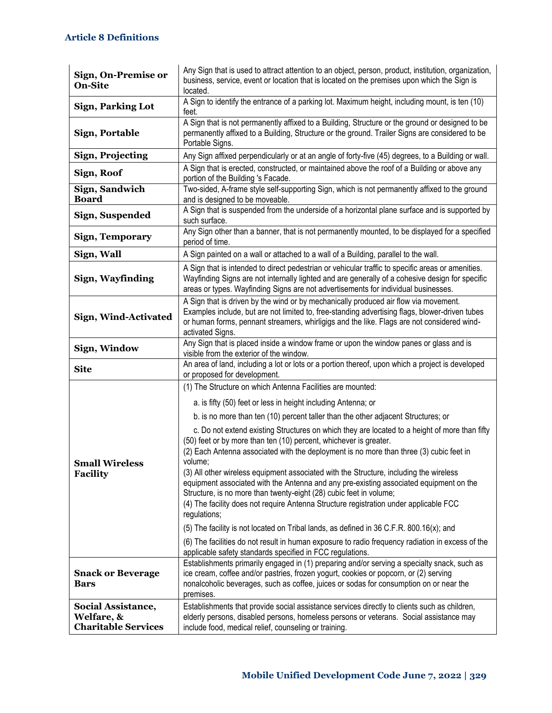| Sign, On-Premise or<br><b>On-Site</b>                          | Any Sign that is used to attract attention to an object, person, product, institution, organization,<br>business, service, event or location that is located on the premises upon which the Sign is<br>located.                                                                                                                                                 |
|----------------------------------------------------------------|-----------------------------------------------------------------------------------------------------------------------------------------------------------------------------------------------------------------------------------------------------------------------------------------------------------------------------------------------------------------|
| <b>Sign, Parking Lot</b>                                       | A Sign to identify the entrance of a parking lot. Maximum height, including mount, is ten (10)<br>feet.                                                                                                                                                                                                                                                         |
| <b>Sign, Portable</b>                                          | A Sign that is not permanently affixed to a Building, Structure or the ground or designed to be<br>permanently affixed to a Building, Structure or the ground. Trailer Signs are considered to be<br>Portable Signs.                                                                                                                                            |
| <b>Sign, Projecting</b>                                        | Any Sign affixed perpendicularly or at an angle of forty-five (45) degrees, to a Building or wall.                                                                                                                                                                                                                                                              |
| Sign, Roof                                                     | A Sign that is erected, constructed, or maintained above the roof of a Building or above any<br>portion of the Building 's Facade.                                                                                                                                                                                                                              |
| Sign, Sandwich<br><b>Board</b>                                 | Two-sided, A-frame style self-supporting Sign, which is not permanently affixed to the ground<br>and is designed to be moveable.                                                                                                                                                                                                                                |
| Sign, Suspended                                                | A Sign that is suspended from the underside of a horizontal plane surface and is supported by<br>such surface.                                                                                                                                                                                                                                                  |
| <b>Sign, Temporary</b>                                         | Any Sign other than a banner, that is not permanently mounted, to be displayed for a specified<br>period of time.                                                                                                                                                                                                                                               |
| Sign, Wall                                                     | A Sign painted on a wall or attached to a wall of a Building, parallel to the wall.                                                                                                                                                                                                                                                                             |
| Sign, Wayfinding                                               | A Sign that is intended to direct pedestrian or vehicular traffic to specific areas or amenities.<br>Wayfinding Signs are not internally lighted and are generally of a cohesive design for specific<br>areas or types. Wayfinding Signs are not advertisements for individual businesses.                                                                      |
| Sign, Wind-Activated                                           | A Sign that is driven by the wind or by mechanically produced air flow via movement.<br>Examples include, but are not limited to, free-standing advertising flags, blower-driven tubes<br>or human forms, pennant streamers, whirligigs and the like. Flags are not considered wind-<br>activated Signs.                                                        |
| Sign, Window                                                   | Any Sign that is placed inside a window frame or upon the window panes or glass and is<br>visible from the exterior of the window.                                                                                                                                                                                                                              |
| <b>Site</b>                                                    | An area of land, including a lot or lots or a portion thereof, upon which a project is developed<br>or proposed for development.                                                                                                                                                                                                                                |
|                                                                | (1) The Structure on which Antenna Facilities are mounted:                                                                                                                                                                                                                                                                                                      |
|                                                                | a. is fifty (50) feet or less in height including Antenna; or                                                                                                                                                                                                                                                                                                   |
|                                                                | b. is no more than ten (10) percent taller than the other adjacent Structures; or                                                                                                                                                                                                                                                                               |
| <b>Small Wireless</b><br><b>Facility</b>                       | c. Do not extend existing Structures on which they are located to a height of more than fifty<br>(50) feet or by more than ten (10) percent, whichever is greater.<br>(2) Each Antenna associated with the deployment is no more than three (3) cubic feet in<br>volume;                                                                                        |
|                                                                | (3) All other wireless equipment associated with the Structure, including the wireless<br>equipment associated with the Antenna and any pre-existing associated equipment on the<br>Structure, is no more than twenty-eight (28) cubic feet in volume;<br>(4) The facility does not require Antenna Structure registration under applicable FCC<br>regulations; |
|                                                                | (5) The facility is not located on Tribal lands, as defined in 36 C.F.R. 800.16(x); and                                                                                                                                                                                                                                                                         |
|                                                                | (6) The facilities do not result in human exposure to radio frequency radiation in excess of the<br>applicable safety standards specified in FCC regulations.                                                                                                                                                                                                   |
| <b>Snack or Beverage</b><br><b>Bars</b>                        | Establishments primarily engaged in (1) preparing and/or serving a specialty snack, such as<br>ice cream, coffee and/or pastries, frozen yogurt, cookies or popcorn, or (2) serving<br>nonalcoholic beverages, such as coffee, juices or sodas for consumption on or near the<br>premises.                                                                      |
| Social Assistance,<br>Welfare, &<br><b>Charitable Services</b> | Establishments that provide social assistance services directly to clients such as children,<br>elderly persons, disabled persons, homeless persons or veterans. Social assistance may<br>include food, medical relief, counseling or training.                                                                                                                 |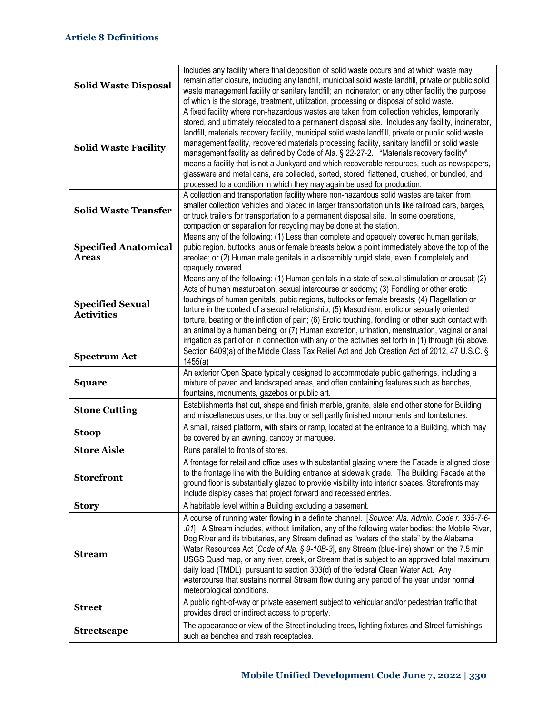| <b>Solid Waste Disposal</b>                  | Includes any facility where final deposition of solid waste occurs and at which waste may<br>remain after closure, including any landfill, municipal solid waste landfill, private or public solid<br>waste management facility or sanitary landfill; an incinerator; or any other facility the purpose<br>of which is the storage, treatment, utilization, processing or disposal of solid waste.                                                                                                                                                                                                                                                                                                                                                                                 |
|----------------------------------------------|------------------------------------------------------------------------------------------------------------------------------------------------------------------------------------------------------------------------------------------------------------------------------------------------------------------------------------------------------------------------------------------------------------------------------------------------------------------------------------------------------------------------------------------------------------------------------------------------------------------------------------------------------------------------------------------------------------------------------------------------------------------------------------|
| <b>Solid Waste Facility</b>                  | A fixed facility where non-hazardous wastes are taken from collection vehicles, temporarily<br>stored, and ultimately relocated to a permanent disposal site. Includes any facility, incinerator,<br>landfill, materials recovery facility, municipal solid waste landfill, private or public solid waste<br>management facility, recovered materials processing facility, sanitary landfill or solid waste<br>management facility as defined by Code of Ala. § 22-27-2. "Materials recovery facility"<br>means a facility that is not a Junkyard and which recoverable resources, such as newspapers,<br>glassware and metal cans, are collected, sorted, stored, flattened, crushed, or bundled, and<br>processed to a condition in which they may again be used for production. |
| <b>Solid Waste Transfer</b>                  | A collection and transportation facility where non-hazardous solid wastes are taken from<br>smaller collection vehicles and placed in larger transportation units like railroad cars, barges,<br>or truck trailers for transportation to a permanent disposal site. In some operations,<br>compaction or separation for recycling may be done at the station.                                                                                                                                                                                                                                                                                                                                                                                                                      |
| <b>Specified Anatomical</b><br><b>Areas</b>  | Means any of the following: (1) Less than complete and opaquely covered human genitals,<br>pubic region, buttocks, anus or female breasts below a point immediately above the top of the<br>areolae; or (2) Human male genitals in a discernibly turgid state, even if completely and<br>opaquely covered.                                                                                                                                                                                                                                                                                                                                                                                                                                                                         |
| <b>Specified Sexual</b><br><b>Activities</b> | Means any of the following: (1) Human genitals in a state of sexual stimulation or arousal; (2)<br>Acts of human masturbation, sexual intercourse or sodomy; (3) Fondling or other erotic<br>touchings of human genitals, pubic regions, buttocks or female breasts; (4) Flagellation or<br>torture in the context of a sexual relationship; (5) Masochism, erotic or sexually oriented<br>torture, beating or the infliction of pain; (6) Erotic touching, fondling or other such contact with<br>an animal by a human being; or (7) Human excretion, urination, menstruation, vaginal or anal<br>irrigation as part of or in connection with any of the activities set forth in (1) through (6) above.                                                                           |
| <b>Spectrum Act</b>                          | Section 6409(a) of the Middle Class Tax Relief Act and Job Creation Act of 2012, 47 U.S.C. §<br>1455(a)                                                                                                                                                                                                                                                                                                                                                                                                                                                                                                                                                                                                                                                                            |
| <b>Square</b>                                | An exterior Open Space typically designed to accommodate public gatherings, including a<br>mixture of paved and landscaped areas, and often containing features such as benches,<br>fountains, monuments, gazebos or public art.                                                                                                                                                                                                                                                                                                                                                                                                                                                                                                                                                   |
| <b>Stone Cutting</b>                         | Establishments that cut, shape and finish marble, granite, slate and other stone for Building<br>and miscellaneous uses, or that buy or sell partly finished monuments and tombstones.                                                                                                                                                                                                                                                                                                                                                                                                                                                                                                                                                                                             |
| <b>Stoop</b>                                 | A small, raised platform, with stairs or ramp, located at the entrance to a Building, which may<br>be covered by an awning, canopy or marquee.                                                                                                                                                                                                                                                                                                                                                                                                                                                                                                                                                                                                                                     |
| <b>Store Aisle</b>                           | Runs parallel to fronts of stores.                                                                                                                                                                                                                                                                                                                                                                                                                                                                                                                                                                                                                                                                                                                                                 |
| <b>Storefront</b>                            | A frontage for retail and office uses with substantial glazing where the Facade is aligned close<br>to the frontage line with the Building entrance at sidewalk grade. The Building Facade at the<br>ground floor is substantially glazed to provide visibility into interior spaces. Storefronts may<br>include display cases that project forward and recessed entries.                                                                                                                                                                                                                                                                                                                                                                                                          |
| <b>Story</b>                                 | A habitable level within a Building excluding a basement.                                                                                                                                                                                                                                                                                                                                                                                                                                                                                                                                                                                                                                                                                                                          |
| <b>Stream</b>                                | A course of running water flowing in a definite channel. [Source: Ala. Admin. Code r. 335-7-6-<br>.01] A Stream includes, without limitation, any of the following water bodies: the Mobile River,<br>Dog River and its tributaries, any Stream defined as "waters of the state" by the Alabama<br>Water Resources Act [Code of Ala. § 9-10B-3], any Stream (blue-line) shown on the 7.5 min<br>USGS Quad map, or any river, creek, or Stream that is subject to an approved total maximum<br>daily load (TMDL) pursuant to section 303(d) of the federal Clean Water Act. Any<br>watercourse that sustains normal Stream flow during any period of the year under normal<br>meteorological conditions.                                                                            |
| <b>Street</b>                                | A public right-of-way or private easement subject to vehicular and/or pedestrian traffic that<br>provides direct or indirect access to property.                                                                                                                                                                                                                                                                                                                                                                                                                                                                                                                                                                                                                                   |
| <b>Streetscape</b>                           | The appearance or view of the Street including trees, lighting fixtures and Street furnishings<br>such as benches and trash receptacles.                                                                                                                                                                                                                                                                                                                                                                                                                                                                                                                                                                                                                                           |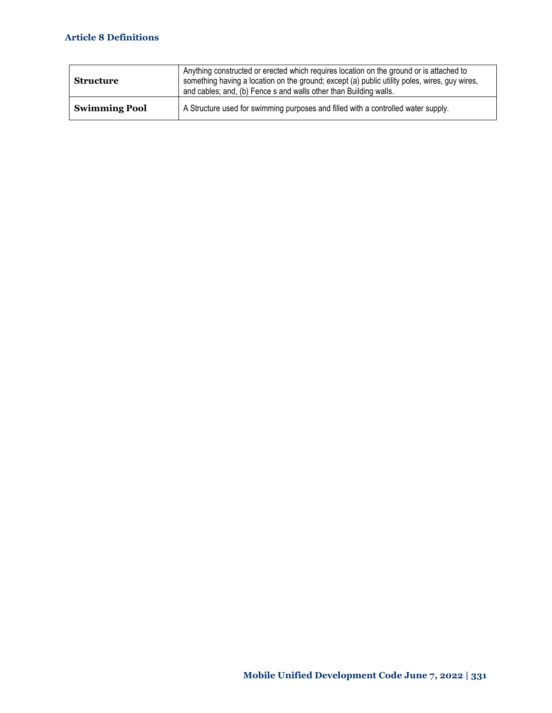| <b>Structure</b>     | Anything constructed or erected which requires location on the ground or is attached to<br>something having a location on the ground; except (a) public utility poles, wires, guy wires,<br>and cables; and, (b) Fence s and walls other than Building walls. |
|----------------------|---------------------------------------------------------------------------------------------------------------------------------------------------------------------------------------------------------------------------------------------------------------|
| <b>Swimming Pool</b> | A Structure used for swimming purposes and filled with a controlled water supply.                                                                                                                                                                             |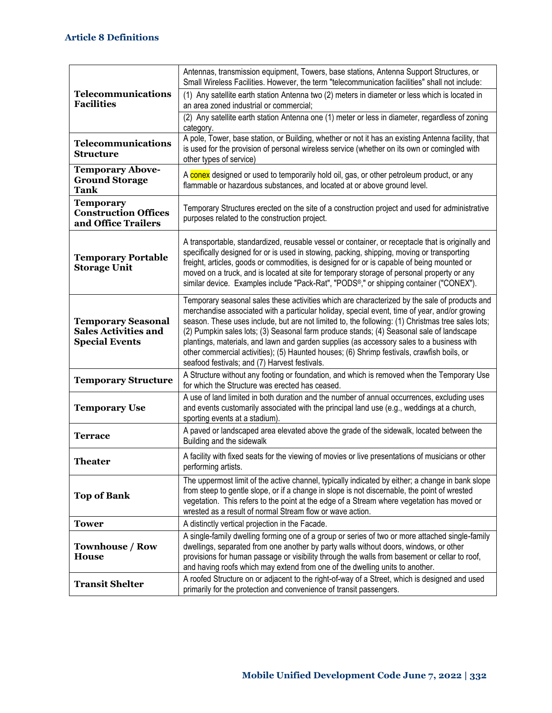|                                                                                   | Antennas, transmission equipment, Towers, base stations, Antenna Support Structures, or<br>Small Wireless Facilities. However, the term "telecommunication facilities" shall not include:                                                                                                                                                                                                                                                                                                                                                                                                                                                   |
|-----------------------------------------------------------------------------------|---------------------------------------------------------------------------------------------------------------------------------------------------------------------------------------------------------------------------------------------------------------------------------------------------------------------------------------------------------------------------------------------------------------------------------------------------------------------------------------------------------------------------------------------------------------------------------------------------------------------------------------------|
| Telecommunications<br><b>Facilities</b>                                           | (1) Any satellite earth station Antenna two (2) meters in diameter or less which is located in<br>an area zoned industrial or commercial;                                                                                                                                                                                                                                                                                                                                                                                                                                                                                                   |
|                                                                                   | (2) Any satellite earth station Antenna one (1) meter or less in diameter, regardless of zoning<br>category.                                                                                                                                                                                                                                                                                                                                                                                                                                                                                                                                |
| Telecommunications<br><b>Structure</b>                                            | A pole, Tower, base station, or Building, whether or not it has an existing Antenna facility, that<br>is used for the provision of personal wireless service (whether on its own or comingled with<br>other types of service)                                                                                                                                                                                                                                                                                                                                                                                                               |
| <b>Temporary Above-</b><br><b>Ground Storage</b><br><b>Tank</b>                   | A conex designed or used to temporarily hold oil, gas, or other petroleum product, or any<br>flammable or hazardous substances, and located at or above ground level.                                                                                                                                                                                                                                                                                                                                                                                                                                                                       |
| <b>Temporary</b><br><b>Construction Offices</b><br>and Office Trailers            | Temporary Structures erected on the site of a construction project and used for administrative<br>purposes related to the construction project.                                                                                                                                                                                                                                                                                                                                                                                                                                                                                             |
| <b>Temporary Portable</b><br><b>Storage Unit</b>                                  | A transportable, standardized, reusable vessel or container, or receptacle that is originally and<br>specifically designed for or is used in stowing, packing, shipping, moving or transporting<br>freight, articles, goods or commodities, is designed for or is capable of being mounted or<br>moved on a truck, and is located at site for temporary storage of personal property or any<br>similar device. Examples include "Pack-Rat", "PODS®," or shipping container ("CONEX").                                                                                                                                                       |
| <b>Temporary Seasonal</b><br><b>Sales Activities and</b><br><b>Special Events</b> | Temporary seasonal sales these activities which are characterized by the sale of products and<br>merchandise associated with a particular holiday, special event, time of year, and/or growing<br>season. These uses include, but are not limited to, the following: (1) Christmas tree sales lots;<br>(2) Pumpkin sales lots; (3) Seasonal farm produce stands; (4) Seasonal sale of landscape<br>plantings, materials, and lawn and garden supplies (as accessory sales to a business with<br>other commercial activities); (5) Haunted houses; (6) Shrimp festivals, crawfish boils, or<br>seafood festivals; and (7) Harvest festivals. |
| <b>Temporary Structure</b>                                                        | A Structure without any footing or foundation, and which is removed when the Temporary Use<br>for which the Structure was erected has ceased.                                                                                                                                                                                                                                                                                                                                                                                                                                                                                               |
| <b>Temporary Use</b>                                                              | A use of land limited in both duration and the number of annual occurrences, excluding uses<br>and events customarily associated with the principal land use (e.g., weddings at a church,<br>sporting events at a stadium).                                                                                                                                                                                                                                                                                                                                                                                                                 |
| Terrace                                                                           | A paved or landscaped area elevated above the grade of the sidewalk, located between the<br>Building and the sidewalk                                                                                                                                                                                                                                                                                                                                                                                                                                                                                                                       |
| <b>Theater</b>                                                                    | A facility with fixed seats for the viewing of movies or live presentations of musicians or other<br>performing artists.                                                                                                                                                                                                                                                                                                                                                                                                                                                                                                                    |
| <b>Top of Bank</b>                                                                | The uppermost limit of the active channel, typically indicated by either; a change in bank slope<br>from steep to gentle slope, or if a change in slope is not discernable, the point of wrested<br>vegetation. This refers to the point at the edge of a Stream where vegetation has moved or<br>wrested as a result of normal Stream flow or wave action.                                                                                                                                                                                                                                                                                 |
| <b>Tower</b>                                                                      | A distinctly vertical projection in the Facade.                                                                                                                                                                                                                                                                                                                                                                                                                                                                                                                                                                                             |
| <b>Townhouse / Row</b><br><b>House</b>                                            | A single-family dwelling forming one of a group or series of two or more attached single-family<br>dwellings, separated from one another by party walls without doors, windows, or other<br>provisions for human passage or visibility through the walls from basement or cellar to roof,<br>and having roofs which may extend from one of the dwelling units to another.                                                                                                                                                                                                                                                                   |
| <b>Transit Shelter</b>                                                            | A roofed Structure on or adjacent to the right-of-way of a Street, which is designed and used<br>primarily for the protection and convenience of transit passengers.                                                                                                                                                                                                                                                                                                                                                                                                                                                                        |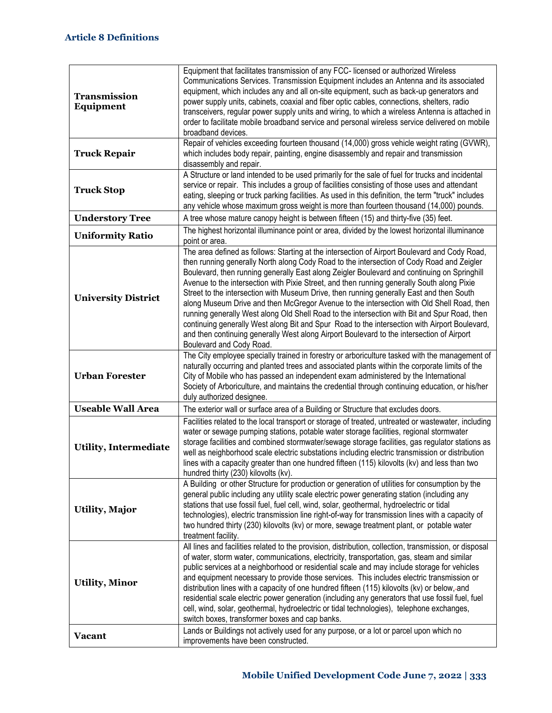| <b>Transmission</b><br><b>Equipment</b> | Equipment that facilitates transmission of any FCC- licensed or authorized Wireless<br>Communications Services. Transmission Equipment includes an Antenna and its associated<br>equipment, which includes any and all on-site equipment, such as back-up generators and<br>power supply units, cabinets, coaxial and fiber optic cables, connections, shelters, radio<br>transceivers, regular power supply units and wiring, to which a wireless Antenna is attached in<br>order to facilitate mobile broadband service and personal wireless service delivered on mobile<br>broadband devices.                                                                                                                                                                                                                                                                                                          |
|-----------------------------------------|------------------------------------------------------------------------------------------------------------------------------------------------------------------------------------------------------------------------------------------------------------------------------------------------------------------------------------------------------------------------------------------------------------------------------------------------------------------------------------------------------------------------------------------------------------------------------------------------------------------------------------------------------------------------------------------------------------------------------------------------------------------------------------------------------------------------------------------------------------------------------------------------------------|
| <b>Truck Repair</b>                     | Repair of vehicles exceeding fourteen thousand (14,000) gross vehicle weight rating (GVWR),<br>which includes body repair, painting, engine disassembly and repair and transmission<br>disassembly and repair.                                                                                                                                                                                                                                                                                                                                                                                                                                                                                                                                                                                                                                                                                             |
| <b>Truck Stop</b>                       | A Structure or land intended to be used primarily for the sale of fuel for trucks and incidental<br>service or repair. This includes a group of facilities consisting of those uses and attendant<br>eating, sleeping or truck parking facilities. As used in this definition, the term "truck" includes<br>any vehicle whose maximum gross weight is more than fourteen thousand (14,000) pounds.                                                                                                                                                                                                                                                                                                                                                                                                                                                                                                         |
| <b>Understory Tree</b>                  | A tree whose mature canopy height is between fifteen (15) and thirty-five (35) feet.                                                                                                                                                                                                                                                                                                                                                                                                                                                                                                                                                                                                                                                                                                                                                                                                                       |
| <b>Uniformity Ratio</b>                 | The highest horizontal illuminance point or area, divided by the lowest horizontal illuminance<br>point or area.                                                                                                                                                                                                                                                                                                                                                                                                                                                                                                                                                                                                                                                                                                                                                                                           |
| <b>University District</b>              | The area defined as follows: Starting at the intersection of Airport Boulevard and Cody Road,<br>then running generally North along Cody Road to the intersection of Cody Road and Zeigler<br>Boulevard, then running generally East along Zeigler Boulevard and continuing on Springhill<br>Avenue to the intersection with Pixie Street, and then running generally South along Pixie<br>Street to the intersection with Museum Drive, then running generally East and then South<br>along Museum Drive and then McGregor Avenue to the intersection with Old Shell Road, then<br>running generally West along Old Shell Road to the intersection with Bit and Spur Road, then<br>continuing generally West along Bit and Spur Road to the intersection with Airport Boulevard,<br>and then continuing generally West along Airport Boulevard to the intersection of Airport<br>Boulevard and Cody Road. |
| <b>Urban Forester</b>                   | The City employee specially trained in forestry or arboriculture tasked with the management of<br>naturally occurring and planted trees and associated plants within the corporate limits of the<br>City of Mobile who has passed an independent exam administered by the International<br>Society of Arboriculture, and maintains the credential through continuing education, or his/her<br>duly authorized designee.                                                                                                                                                                                                                                                                                                                                                                                                                                                                                    |
| <b>Useable Wall Area</b>                | The exterior wall or surface area of a Building or Structure that excludes doors.                                                                                                                                                                                                                                                                                                                                                                                                                                                                                                                                                                                                                                                                                                                                                                                                                          |
| <b>Utility, Intermediate</b>            | Facilities related to the local transport or storage of treated, untreated or wastewater, including<br>water or sewage pumping stations, potable water storage facilities, regional stormwater<br>storage facilities and combined stormwater/sewage storage facilities, gas regulator stations as<br>well as neighborhood scale electric substations including electric transmission or distribution<br>lines with a capacity greater than one hundred fifteen (115) kilovolts (kv) and less than two<br>hundred thirty (230) kilovolts (kv).                                                                                                                                                                                                                                                                                                                                                              |
| <b>Utility, Major</b>                   | A Building or other Structure for production or generation of utilities for consumption by the<br>general public including any utility scale electric power generating station (including any<br>stations that use fossil fuel, fuel cell, wind, solar, geothermal, hydroelectric or tidal<br>technologies), electric transmission line right-of-way for transmission lines with a capacity of<br>two hundred thirty (230) kilovolts (kv) or more, sewage treatment plant, or potable water<br>treatment facility.                                                                                                                                                                                                                                                                                                                                                                                         |
| <b>Utility, Minor</b>                   | All lines and facilities related to the provision, distribution, collection, transmission, or disposal<br>of water, storm water, communications, electricity, transportation, gas, steam and similar<br>public services at a neighborhood or residential scale and may include storage for vehicles<br>and equipment necessary to provide those services. This includes electric transmission or<br>distribution lines with a capacity of one hundred fifteen (115) kilovolts (kv) or below,-and<br>residential scale electric power generation (including any generators that use fossil fuel, fuel<br>cell, wind, solar, geothermal, hydroelectric or tidal technologies), telephone exchanges,<br>switch boxes, transformer boxes and cap banks.                                                                                                                                                        |
| <b>Vacant</b>                           | Lands or Buildings not actively used for any purpose, or a lot or parcel upon which no<br>improvements have been constructed.                                                                                                                                                                                                                                                                                                                                                                                                                                                                                                                                                                                                                                                                                                                                                                              |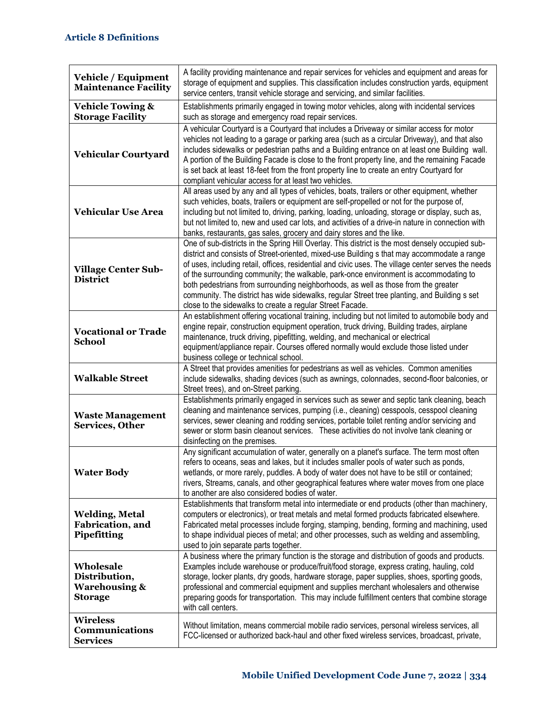| Vehicle / Equipment<br><b>Maintenance Facility</b>                       | A facility providing maintenance and repair services for vehicles and equipment and areas for<br>storage of equipment and supplies. This classification includes construction yards, equipment<br>service centers, transit vehicle storage and servicing, and similar facilities.                                                                                                                                                                                                                                                                                                                                                                  |
|--------------------------------------------------------------------------|----------------------------------------------------------------------------------------------------------------------------------------------------------------------------------------------------------------------------------------------------------------------------------------------------------------------------------------------------------------------------------------------------------------------------------------------------------------------------------------------------------------------------------------------------------------------------------------------------------------------------------------------------|
| <b>Vehicle Towing &amp;</b><br><b>Storage Facility</b>                   | Establishments primarily engaged in towing motor vehicles, along with incidental services<br>such as storage and emergency road repair services.                                                                                                                                                                                                                                                                                                                                                                                                                                                                                                   |
| Vehicular Courtyard                                                      | A vehicular Courtyard is a Courtyard that includes a Driveway or similar access for motor<br>vehicles not leading to a garage or parking area (such as a circular Driveway), and that also<br>includes sidewalks or pedestrian paths and a Building entrance on at least one Building wall.<br>A portion of the Building Facade is close to the front property line, and the remaining Facade<br>is set back at least 18-feet from the front property line to create an entry Courtyard for<br>compliant vehicular access for at least two vehicles.                                                                                               |
| <b>Vehicular Use Area</b>                                                | All areas used by any and all types of vehicles, boats, trailers or other equipment, whether<br>such vehicles, boats, trailers or equipment are self-propelled or not for the purpose of,<br>including but not limited to, driving, parking, loading, unloading, storage or display, such as,<br>but not limited to, new and used car lots, and activities of a drive-in nature in connection with<br>banks, restaurants, gas sales, grocery and dairy stores and the like.                                                                                                                                                                        |
| <b>Village Center Sub-</b><br><b>District</b>                            | One of sub-districts in the Spring Hill Overlay. This district is the most densely occupied sub-<br>district and consists of Street-oriented, mixed-use Building s that may accommodate a range<br>of uses, including retail, offices, residential and civic uses. The village center serves the needs<br>of the surrounding community; the walkable, park-once environment is accommodating to<br>both pedestrians from surrounding neighborhoods, as well as those from the greater<br>community. The district has wide sidewalks, regular Street tree planting, and Building s set<br>close to the sidewalks to create a regular Street Facade. |
| <b>Vocational or Trade</b><br><b>School</b>                              | An establishment offering vocational training, including but not limited to automobile body and<br>engine repair, construction equipment operation, truck driving, Building trades, airplane<br>maintenance, truck driving, pipefitting, welding, and mechanical or electrical<br>equipment/appliance repair. Courses offered normally would exclude those listed under<br>business college or technical school.                                                                                                                                                                                                                                   |
| <b>Walkable Street</b>                                                   | A Street that provides amenities for pedestrians as well as vehicles. Common amenities<br>include sidewalks, shading devices (such as awnings, colonnades, second-floor balconies, or<br>Street trees), and on-Street parking.                                                                                                                                                                                                                                                                                                                                                                                                                     |
| <b>Waste Management</b><br>Services, Other                               | Establishments primarily engaged in services such as sewer and septic tank cleaning, beach<br>cleaning and maintenance services, pumping (i.e., cleaning) cesspools, cesspool cleaning<br>services, sewer cleaning and rodding services, portable toilet renting and/or servicing and<br>sewer or storm basin cleanout services. These activities do not involve tank cleaning or<br>disinfecting on the premises.                                                                                                                                                                                                                                 |
| <b>Water Body</b>                                                        | Any significant accumulation of water, generally on a planet's surface. The term most often<br>refers to oceans, seas and lakes, but it includes smaller pools of water such as ponds,<br>wetlands, or more rarely, puddles. A body of water does not have to be still or contained;<br>rivers, Streams, canals, and other geographical features where water moves from one place<br>to another are also considered bodies of water.                                                                                                                                                                                                               |
| <b>Welding, Metal</b><br>Fabrication, and<br>Pipefitting                 | Establishments that transform metal into intermediate or end products (other than machinery,<br>computers or electronics), or treat metals and metal formed products fabricated elsewhere.<br>Fabricated metal processes include forging, stamping, bending, forming and machining, used<br>to shape individual pieces of metal; and other processes, such as welding and assembling,<br>used to join separate parts together.                                                                                                                                                                                                                     |
| Wholesale<br>Distribution,<br><b>Warehousing &amp;</b><br><b>Storage</b> | A business where the primary function is the storage and distribution of goods and products.<br>Examples include warehouse or produce/fruit/food storage, express crating, hauling, cold<br>storage, locker plants, dry goods, hardware storage, paper supplies, shoes, sporting goods,<br>professional and commercial equipment and supplies merchant wholesalers and otherwise<br>preparing goods for transportation. This may include fulfillment centers that combine storage<br>with call centers.                                                                                                                                            |
| <b>Wireless</b><br><b>Communications</b><br><b>Services</b>              | Without limitation, means commercial mobile radio services, personal wireless services, all<br>FCC-licensed or authorized back-haul and other fixed wireless services, broadcast, private,                                                                                                                                                                                                                                                                                                                                                                                                                                                         |